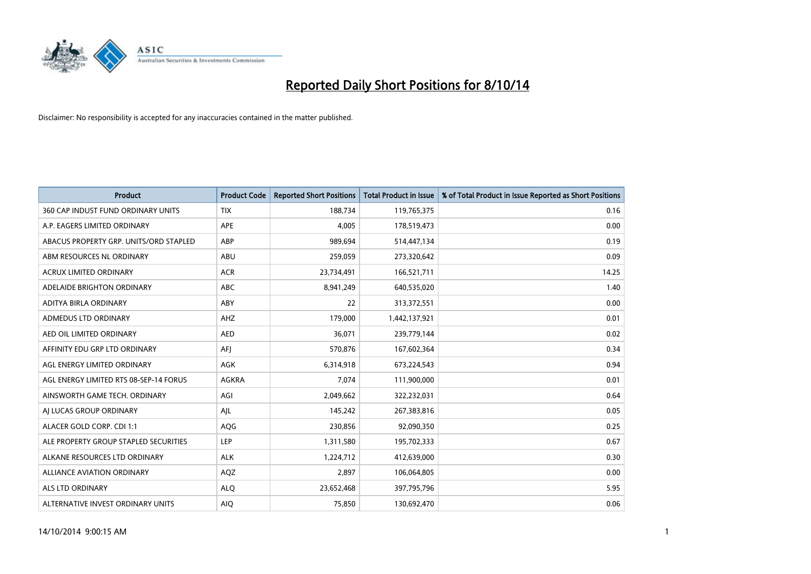

| <b>Product</b>                         | <b>Product Code</b> | <b>Reported Short Positions</b> | <b>Total Product in Issue</b> | % of Total Product in Issue Reported as Short Positions |
|----------------------------------------|---------------------|---------------------------------|-------------------------------|---------------------------------------------------------|
| 360 CAP INDUST FUND ORDINARY UNITS     | <b>TIX</b>          | 188,734                         | 119,765,375                   | 0.16                                                    |
| A.P. EAGERS LIMITED ORDINARY           | APE                 | 4,005                           | 178,519,473                   | 0.00                                                    |
| ABACUS PROPERTY GRP. UNITS/ORD STAPLED | ABP                 | 989,694                         | 514,447,134                   | 0.19                                                    |
| ABM RESOURCES NL ORDINARY              | ABU                 | 259,059                         | 273,320,642                   | 0.09                                                    |
| <b>ACRUX LIMITED ORDINARY</b>          | <b>ACR</b>          | 23,734,491                      | 166,521,711                   | 14.25                                                   |
| ADELAIDE BRIGHTON ORDINARY             | <b>ABC</b>          | 8,941,249                       | 640,535,020                   | 1.40                                                    |
| ADITYA BIRLA ORDINARY                  | <b>ABY</b>          | 22                              | 313,372,551                   | 0.00                                                    |
| ADMEDUS LTD ORDINARY                   | AHZ                 | 179,000                         | 1,442,137,921                 | 0.01                                                    |
| AED OIL LIMITED ORDINARY               | <b>AED</b>          | 36,071                          | 239,779,144                   | 0.02                                                    |
| AFFINITY EDU GRP LTD ORDINARY          | AFI                 | 570,876                         | 167,602,364                   | 0.34                                                    |
| AGL ENERGY LIMITED ORDINARY            | AGK                 | 6,314,918                       | 673,224,543                   | 0.94                                                    |
| AGL ENERGY LIMITED RTS 08-SEP-14 FORUS | AGKRA               | 7,074                           | 111,900,000                   | 0.01                                                    |
| AINSWORTH GAME TECH. ORDINARY          | AGI                 | 2,049,662                       | 322,232,031                   | 0.64                                                    |
| AI LUCAS GROUP ORDINARY                | AJL                 | 145,242                         | 267,383,816                   | 0.05                                                    |
| ALACER GOLD CORP. CDI 1:1              | AQG                 | 230,856                         | 92,090,350                    | 0.25                                                    |
| ALE PROPERTY GROUP STAPLED SECURITIES  | LEP                 | 1,311,580                       | 195,702,333                   | 0.67                                                    |
| ALKANE RESOURCES LTD ORDINARY          | <b>ALK</b>          | 1,224,712                       | 412,639,000                   | 0.30                                                    |
| ALLIANCE AVIATION ORDINARY             | AQZ                 | 2,897                           | 106,064,805                   | 0.00                                                    |
| ALS LTD ORDINARY                       | <b>ALO</b>          | 23,652,468                      | 397,795,796                   | 5.95                                                    |
| ALTERNATIVE INVEST ORDINARY UNITS      | <b>AIO</b>          | 75,850                          | 130,692,470                   | 0.06                                                    |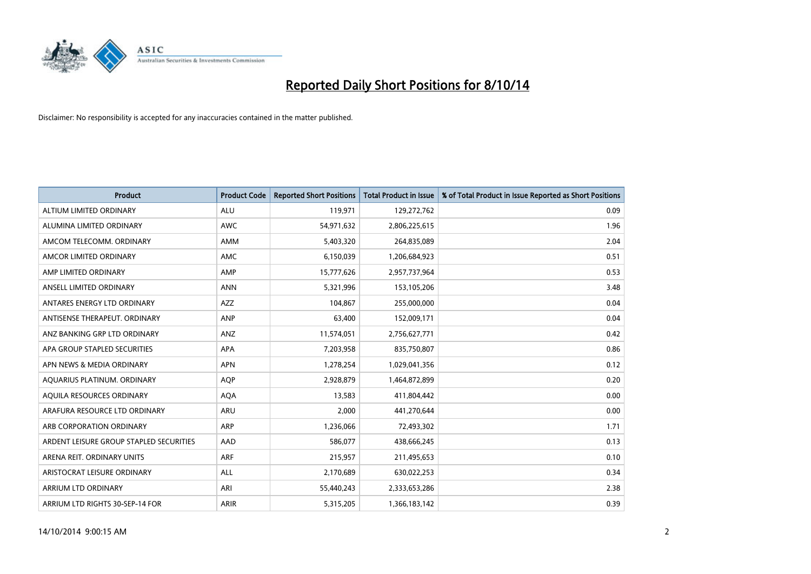

| <b>Product</b>                          | <b>Product Code</b> | <b>Reported Short Positions</b> | <b>Total Product in Issue</b> | % of Total Product in Issue Reported as Short Positions |
|-----------------------------------------|---------------------|---------------------------------|-------------------------------|---------------------------------------------------------|
| ALTIUM LIMITED ORDINARY                 | <b>ALU</b>          | 119,971                         | 129,272,762                   | 0.09                                                    |
| ALUMINA LIMITED ORDINARY                | AWC                 | 54,971,632                      | 2,806,225,615                 | 1.96                                                    |
| AMCOM TELECOMM, ORDINARY                | AMM                 | 5,403,320                       | 264,835,089                   | 2.04                                                    |
| AMCOR LIMITED ORDINARY                  | AMC                 | 6,150,039                       | 1,206,684,923                 | 0.51                                                    |
| AMP LIMITED ORDINARY                    | AMP                 | 15,777,626                      | 2,957,737,964                 | 0.53                                                    |
| ANSELL LIMITED ORDINARY                 | <b>ANN</b>          | 5,321,996                       | 153,105,206                   | 3.48                                                    |
| ANTARES ENERGY LTD ORDINARY             | AZZ                 | 104,867                         | 255,000,000                   | 0.04                                                    |
| ANTISENSE THERAPEUT. ORDINARY           | ANP                 | 63,400                          | 152,009,171                   | 0.04                                                    |
| ANZ BANKING GRP LTD ORDINARY            | ANZ                 | 11,574,051                      | 2,756,627,771                 | 0.42                                                    |
| APA GROUP STAPLED SECURITIES            | <b>APA</b>          | 7,203,958                       | 835,750,807                   | 0.86                                                    |
| APN NEWS & MEDIA ORDINARY               | <b>APN</b>          | 1,278,254                       | 1,029,041,356                 | 0.12                                                    |
| AQUARIUS PLATINUM. ORDINARY             | AQP                 | 2,928,879                       | 1,464,872,899                 | 0.20                                                    |
| AQUILA RESOURCES ORDINARY               | <b>AQA</b>          | 13,583                          | 411,804,442                   | 0.00                                                    |
| ARAFURA RESOURCE LTD ORDINARY           | ARU                 | 2,000                           | 441,270,644                   | 0.00                                                    |
| ARB CORPORATION ORDINARY                | <b>ARP</b>          | 1,236,066                       | 72,493,302                    | 1.71                                                    |
| ARDENT LEISURE GROUP STAPLED SECURITIES | AAD                 | 586,077                         | 438,666,245                   | 0.13                                                    |
| ARENA REIT. ORDINARY UNITS              | <b>ARF</b>          | 215,957                         | 211,495,653                   | 0.10                                                    |
| ARISTOCRAT LEISURE ORDINARY             | <b>ALL</b>          | 2,170,689                       | 630,022,253                   | 0.34                                                    |
| ARRIUM LTD ORDINARY                     | ARI                 | 55,440,243                      | 2,333,653,286                 | 2.38                                                    |
| ARRIUM LTD RIGHTS 30-SEP-14 FOR         | ARIR                | 5,315,205                       | 1,366,183,142                 | 0.39                                                    |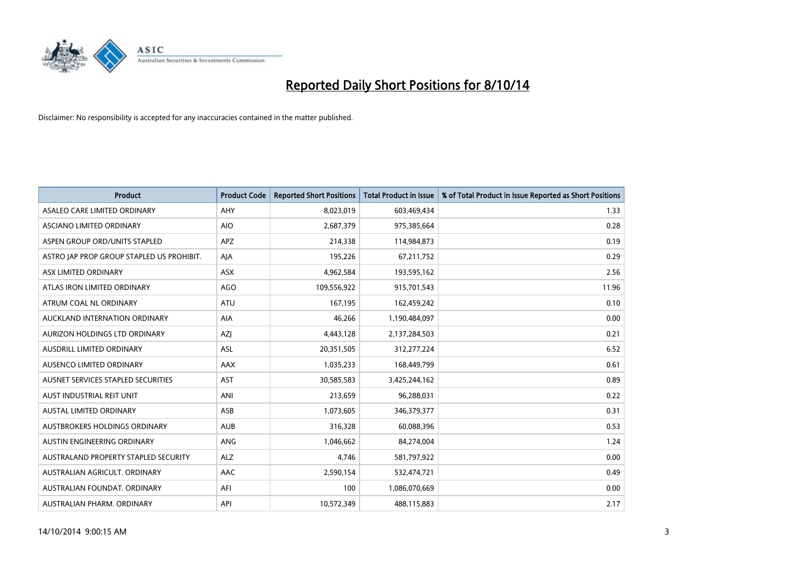

| <b>Product</b>                            | <b>Product Code</b> | <b>Reported Short Positions</b> | <b>Total Product in Issue</b> | % of Total Product in Issue Reported as Short Positions |
|-------------------------------------------|---------------------|---------------------------------|-------------------------------|---------------------------------------------------------|
| ASALEO CARE LIMITED ORDINARY              | AHY                 | 8,023,019                       | 603,469,434                   | 1.33                                                    |
| ASCIANO LIMITED ORDINARY                  | <b>AIO</b>          | 2,687,379                       | 975,385,664                   | 0.28                                                    |
| ASPEN GROUP ORD/UNITS STAPLED             | <b>APZ</b>          | 214,338                         | 114,984,873                   | 0.19                                                    |
| ASTRO JAP PROP GROUP STAPLED US PROHIBIT. | AJA                 | 195,226                         | 67,211,752                    | 0.29                                                    |
| ASX LIMITED ORDINARY                      | ASX                 | 4,962,584                       | 193,595,162                   | 2.56                                                    |
| ATLAS IRON LIMITED ORDINARY               | <b>AGO</b>          | 109,556,922                     | 915,701,543                   | 11.96                                                   |
| ATRUM COAL NL ORDINARY                    | ATU                 | 167,195                         | 162,459,242                   | 0.10                                                    |
| AUCKLAND INTERNATION ORDINARY             | AIA                 | 46,266                          | 1,190,484,097                 | 0.00                                                    |
| AURIZON HOLDINGS LTD ORDINARY             | AZJ                 | 4,443,128                       | 2,137,284,503                 | 0.21                                                    |
| AUSDRILL LIMITED ORDINARY                 | <b>ASL</b>          | 20,351,505                      | 312,277,224                   | 6.52                                                    |
| AUSENCO LIMITED ORDINARY                  | AAX                 | 1,035,233                       | 168,449,799                   | 0.61                                                    |
| AUSNET SERVICES STAPLED SECURITIES        | <b>AST</b>          | 30,585,583                      | 3,425,244,162                 | 0.89                                                    |
| AUST INDUSTRIAL REIT UNIT                 | ANI                 | 213,659                         | 96,288,031                    | 0.22                                                    |
| <b>AUSTAL LIMITED ORDINARY</b>            | ASB                 | 1,073,605                       | 346,379,377                   | 0.31                                                    |
| AUSTBROKERS HOLDINGS ORDINARY             | <b>AUB</b>          | 316,328                         | 60,088,396                    | 0.53                                                    |
| AUSTIN ENGINEERING ORDINARY               | ANG                 | 1,046,662                       | 84,274,004                    | 1.24                                                    |
| AUSTRALAND PROPERTY STAPLED SECURITY      | <b>ALZ</b>          | 4,746                           | 581,797,922                   | 0.00                                                    |
| AUSTRALIAN AGRICULT. ORDINARY             | AAC                 | 2,590,154                       | 532,474,721                   | 0.49                                                    |
| AUSTRALIAN FOUNDAT, ORDINARY              | AFI                 | 100                             | 1,086,070,669                 | 0.00                                                    |
| AUSTRALIAN PHARM. ORDINARY                | API                 | 10,572,349                      | 488,115,883                   | 2.17                                                    |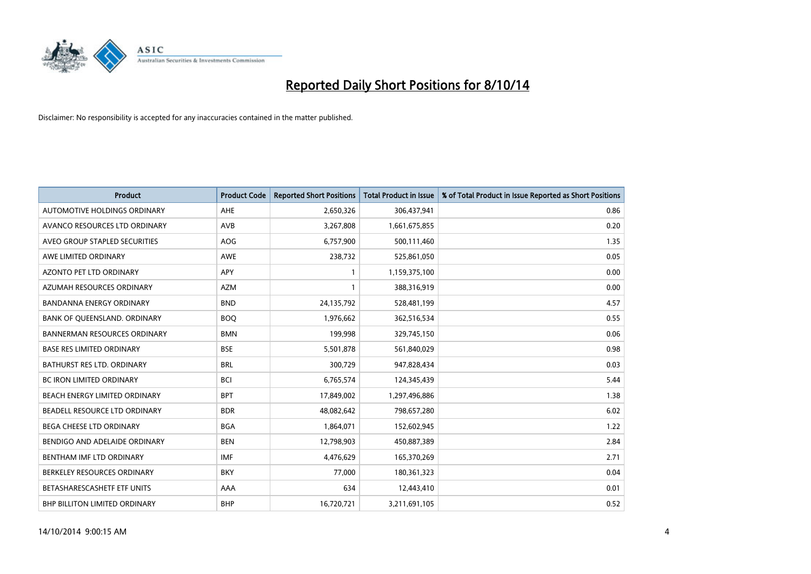

| <b>Product</b>                      | <b>Product Code</b> | <b>Reported Short Positions</b> | <b>Total Product in Issue</b> | % of Total Product in Issue Reported as Short Positions |
|-------------------------------------|---------------------|---------------------------------|-------------------------------|---------------------------------------------------------|
| AUTOMOTIVE HOLDINGS ORDINARY        | AHE                 | 2,650,326                       | 306,437,941                   | 0.86                                                    |
| AVANCO RESOURCES LTD ORDINARY       | AVB                 | 3,267,808                       | 1,661,675,855                 | 0.20                                                    |
| AVEO GROUP STAPLED SECURITIES       | <b>AOG</b>          | 6,757,900                       | 500,111,460                   | 1.35                                                    |
| AWE LIMITED ORDINARY                | <b>AWE</b>          | 238,732                         | 525,861,050                   | 0.05                                                    |
| <b>AZONTO PET LTD ORDINARY</b>      | APY                 | 1                               | 1,159,375,100                 | 0.00                                                    |
| AZUMAH RESOURCES ORDINARY           | <b>AZM</b>          | $\mathbf{1}$                    | 388,316,919                   | 0.00                                                    |
| <b>BANDANNA ENERGY ORDINARY</b>     | <b>BND</b>          | 24,135,792                      | 528,481,199                   | 4.57                                                    |
| BANK OF QUEENSLAND. ORDINARY        | <b>BOO</b>          | 1,976,662                       | 362,516,534                   | 0.55                                                    |
| <b>BANNERMAN RESOURCES ORDINARY</b> | <b>BMN</b>          | 199,998                         | 329,745,150                   | 0.06                                                    |
| <b>BASE RES LIMITED ORDINARY</b>    | <b>BSE</b>          | 5,501,878                       | 561,840,029                   | 0.98                                                    |
| BATHURST RES LTD. ORDINARY          | <b>BRL</b>          | 300,729                         | 947,828,434                   | 0.03                                                    |
| <b>BC IRON LIMITED ORDINARY</b>     | <b>BCI</b>          | 6,765,574                       | 124,345,439                   | 5.44                                                    |
| BEACH ENERGY LIMITED ORDINARY       | <b>BPT</b>          | 17,849,002                      | 1,297,496,886                 | 1.38                                                    |
| BEADELL RESOURCE LTD ORDINARY       | <b>BDR</b>          | 48,082,642                      | 798,657,280                   | 6.02                                                    |
| <b>BEGA CHEESE LTD ORDINARY</b>     | <b>BGA</b>          | 1,864,071                       | 152,602,945                   | 1.22                                                    |
| BENDIGO AND ADELAIDE ORDINARY       | <b>BEN</b>          | 12,798,903                      | 450,887,389                   | 2.84                                                    |
| BENTHAM IMF LTD ORDINARY            | IMF                 | 4,476,629                       | 165,370,269                   | 2.71                                                    |
| BERKELEY RESOURCES ORDINARY         | <b>BKY</b>          | 77,000                          | 180,361,323                   | 0.04                                                    |
| BETASHARESCASHETF ETF UNITS         | AAA                 | 634                             | 12,443,410                    | 0.01                                                    |
| BHP BILLITON LIMITED ORDINARY       | <b>BHP</b>          | 16,720,721                      | 3,211,691,105                 | 0.52                                                    |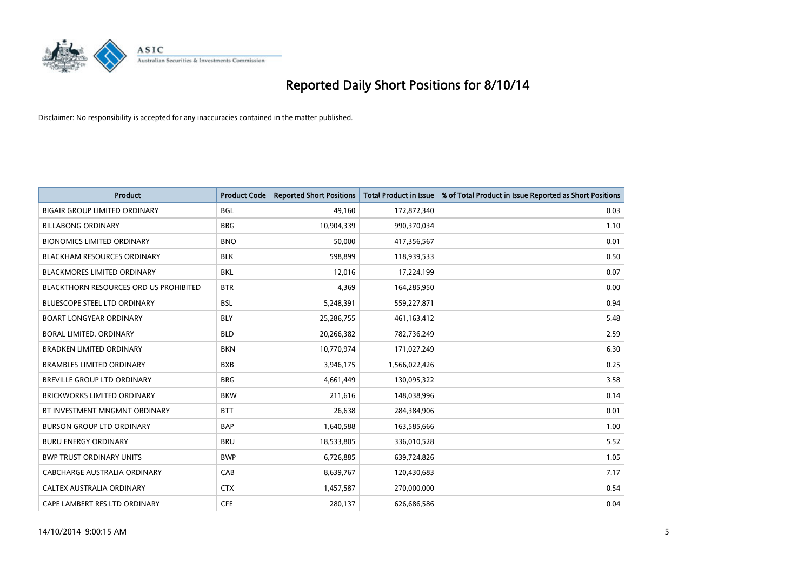

| <b>Product</b>                                | <b>Product Code</b> | <b>Reported Short Positions</b> | <b>Total Product in Issue</b> | % of Total Product in Issue Reported as Short Positions |
|-----------------------------------------------|---------------------|---------------------------------|-------------------------------|---------------------------------------------------------|
| <b>BIGAIR GROUP LIMITED ORDINARY</b>          | <b>BGL</b>          | 49,160                          | 172,872,340                   | 0.03                                                    |
| <b>BILLABONG ORDINARY</b>                     | <b>BBG</b>          | 10,904,339                      | 990,370,034                   | 1.10                                                    |
| <b>BIONOMICS LIMITED ORDINARY</b>             | <b>BNO</b>          | 50,000                          | 417,356,567                   | 0.01                                                    |
| <b>BLACKHAM RESOURCES ORDINARY</b>            | <b>BLK</b>          | 598,899                         | 118,939,533                   | 0.50                                                    |
| <b>BLACKMORES LIMITED ORDINARY</b>            | <b>BKL</b>          | 12,016                          | 17,224,199                    | 0.07                                                    |
| <b>BLACKTHORN RESOURCES ORD US PROHIBITED</b> | <b>BTR</b>          | 4,369                           | 164,285,950                   | 0.00                                                    |
| <b>BLUESCOPE STEEL LTD ORDINARY</b>           | <b>BSL</b>          | 5,248,391                       | 559,227,871                   | 0.94                                                    |
| <b>BOART LONGYEAR ORDINARY</b>                | <b>BLY</b>          | 25,286,755                      | 461,163,412                   | 5.48                                                    |
| <b>BORAL LIMITED, ORDINARY</b>                | <b>BLD</b>          | 20,266,382                      | 782,736,249                   | 2.59                                                    |
| <b>BRADKEN LIMITED ORDINARY</b>               | <b>BKN</b>          | 10,770,974                      | 171,027,249                   | 6.30                                                    |
| <b>BRAMBLES LIMITED ORDINARY</b>              | <b>BXB</b>          | 3,946,175                       | 1,566,022,426                 | 0.25                                                    |
| BREVILLE GROUP LTD ORDINARY                   | <b>BRG</b>          | 4,661,449                       | 130,095,322                   | 3.58                                                    |
| <b>BRICKWORKS LIMITED ORDINARY</b>            | <b>BKW</b>          | 211,616                         | 148,038,996                   | 0.14                                                    |
| BT INVESTMENT MNGMNT ORDINARY                 | <b>BTT</b>          | 26,638                          | 284,384,906                   | 0.01                                                    |
| <b>BURSON GROUP LTD ORDINARY</b>              | <b>BAP</b>          | 1,640,588                       | 163,585,666                   | 1.00                                                    |
| <b>BURU ENERGY ORDINARY</b>                   | <b>BRU</b>          | 18,533,805                      | 336,010,528                   | 5.52                                                    |
| <b>BWP TRUST ORDINARY UNITS</b>               | <b>BWP</b>          | 6,726,885                       | 639,724,826                   | 1.05                                                    |
| <b>CABCHARGE AUSTRALIA ORDINARY</b>           | CAB                 | 8,639,767                       | 120,430,683                   | 7.17                                                    |
| CALTEX AUSTRALIA ORDINARY                     | <b>CTX</b>          | 1,457,587                       | 270,000,000                   | 0.54                                                    |
| CAPE LAMBERT RES LTD ORDINARY                 | <b>CFE</b>          | 280,137                         | 626,686,586                   | 0.04                                                    |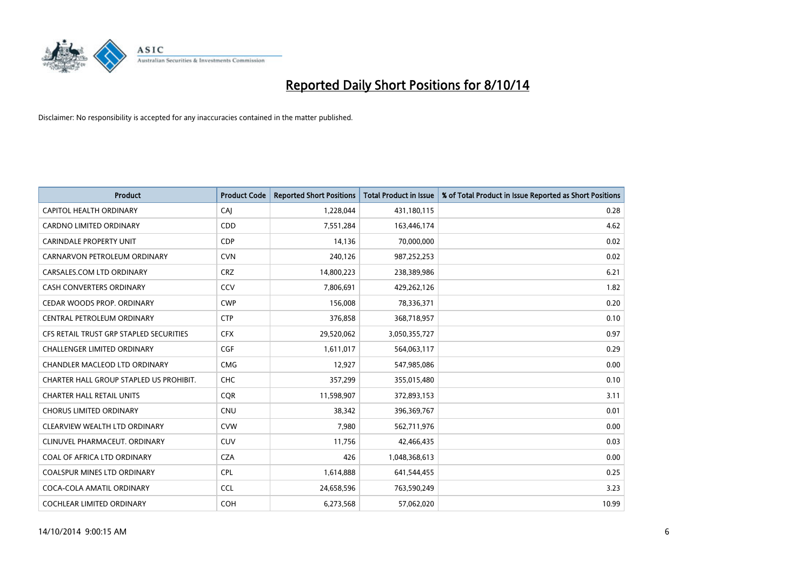

| <b>Product</b>                          | <b>Product Code</b> | <b>Reported Short Positions</b> | <b>Total Product in Issue</b> | % of Total Product in Issue Reported as Short Positions |
|-----------------------------------------|---------------------|---------------------------------|-------------------------------|---------------------------------------------------------|
| <b>CAPITOL HEALTH ORDINARY</b>          | CAJ                 | 1,228,044                       | 431,180,115                   | 0.28                                                    |
| CARDNO LIMITED ORDINARY                 | <b>CDD</b>          | 7,551,284                       | 163,446,174                   | 4.62                                                    |
| <b>CARINDALE PROPERTY UNIT</b>          | <b>CDP</b>          | 14,136                          | 70,000,000                    | 0.02                                                    |
| CARNARVON PETROLEUM ORDINARY            | <b>CVN</b>          | 240,126                         | 987,252,253                   | 0.02                                                    |
| CARSALES.COM LTD ORDINARY               | <b>CRZ</b>          | 14,800,223                      | 238,389,986                   | 6.21                                                    |
| <b>CASH CONVERTERS ORDINARY</b>         | CCV                 | 7,806,691                       | 429,262,126                   | 1.82                                                    |
| CEDAR WOODS PROP. ORDINARY              | <b>CWP</b>          | 156,008                         | 78,336,371                    | 0.20                                                    |
| CENTRAL PETROLEUM ORDINARY              | <b>CTP</b>          | 376,858                         | 368,718,957                   | 0.10                                                    |
| CFS RETAIL TRUST GRP STAPLED SECURITIES | <b>CFX</b>          | 29,520,062                      | 3,050,355,727                 | 0.97                                                    |
| <b>CHALLENGER LIMITED ORDINARY</b>      | <b>CGF</b>          | 1,611,017                       | 564,063,117                   | 0.29                                                    |
| CHANDLER MACLEOD LTD ORDINARY           | <b>CMG</b>          | 12,927                          | 547,985,086                   | 0.00                                                    |
| CHARTER HALL GROUP STAPLED US PROHIBIT. | <b>CHC</b>          | 357,299                         | 355,015,480                   | 0.10                                                    |
| <b>CHARTER HALL RETAIL UNITS</b>        | <b>COR</b>          | 11,598,907                      | 372,893,153                   | 3.11                                                    |
| <b>CHORUS LIMITED ORDINARY</b>          | <b>CNU</b>          | 38,342                          | 396,369,767                   | 0.01                                                    |
| CLEARVIEW WEALTH LTD ORDINARY           | <b>CVW</b>          | 7,980                           | 562,711,976                   | 0.00                                                    |
| CLINUVEL PHARMACEUT. ORDINARY           | <b>CUV</b>          | 11,756                          | 42,466,435                    | 0.03                                                    |
| COAL OF AFRICA LTD ORDINARY             | <b>CZA</b>          | 426                             | 1,048,368,613                 | 0.00                                                    |
| COALSPUR MINES LTD ORDINARY             | <b>CPL</b>          | 1,614,888                       | 641,544,455                   | 0.25                                                    |
| COCA-COLA AMATIL ORDINARY               | <b>CCL</b>          | 24,658,596                      | 763,590,249                   | 3.23                                                    |
| COCHLEAR LIMITED ORDINARY               | <b>COH</b>          | 6,273,568                       | 57,062,020                    | 10.99                                                   |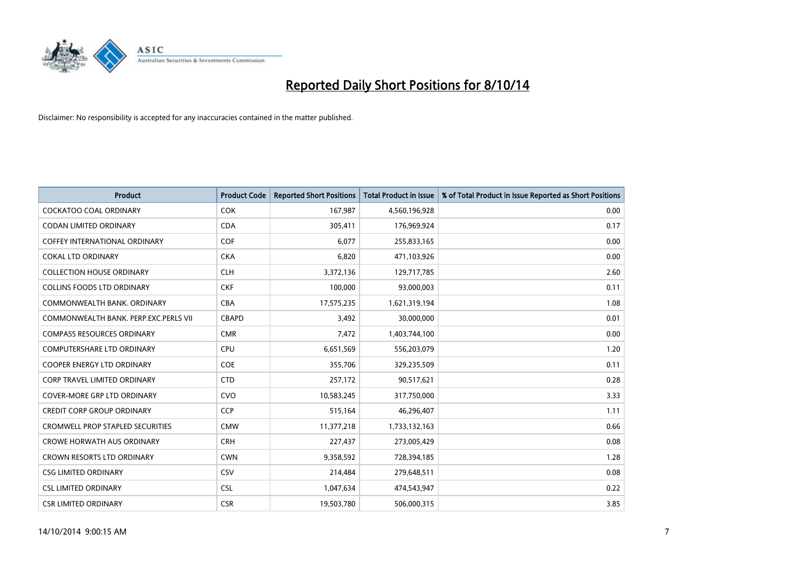

| <b>Product</b>                          | <b>Product Code</b> | <b>Reported Short Positions</b> | <b>Total Product in Issue</b> | % of Total Product in Issue Reported as Short Positions |
|-----------------------------------------|---------------------|---------------------------------|-------------------------------|---------------------------------------------------------|
| <b>COCKATOO COAL ORDINARY</b>           | <b>COK</b>          | 167,987                         | 4,560,196,928                 | 0.00                                                    |
| <b>CODAN LIMITED ORDINARY</b>           | <b>CDA</b>          | 305,411                         | 176,969,924                   | 0.17                                                    |
| <b>COFFEY INTERNATIONAL ORDINARY</b>    | <b>COF</b>          | 6,077                           | 255,833,165                   | 0.00                                                    |
| <b>COKAL LTD ORDINARY</b>               | <b>CKA</b>          | 6,820                           | 471,103,926                   | 0.00                                                    |
| <b>COLLECTION HOUSE ORDINARY</b>        | <b>CLH</b>          | 3,372,136                       | 129,717,785                   | 2.60                                                    |
| <b>COLLINS FOODS LTD ORDINARY</b>       | <b>CKF</b>          | 100,000                         | 93,000,003                    | 0.11                                                    |
| COMMONWEALTH BANK, ORDINARY             | <b>CBA</b>          | 17,575,235                      | 1,621,319,194                 | 1.08                                                    |
| COMMONWEALTH BANK, PERP.EXC.PERLS VII   | <b>CBAPD</b>        | 3,492                           | 30,000,000                    | 0.01                                                    |
| <b>COMPASS RESOURCES ORDINARY</b>       | <b>CMR</b>          | 7,472                           | 1,403,744,100                 | 0.00                                                    |
| <b>COMPUTERSHARE LTD ORDINARY</b>       | <b>CPU</b>          | 6,651,569                       | 556,203,079                   | 1.20                                                    |
| COOPER ENERGY LTD ORDINARY              | <b>COE</b>          | 355,706                         | 329,235,509                   | 0.11                                                    |
| <b>CORP TRAVEL LIMITED ORDINARY</b>     | <b>CTD</b>          | 257,172                         | 90,517,621                    | 0.28                                                    |
| <b>COVER-MORE GRP LTD ORDINARY</b>      | <b>CVO</b>          | 10,583,245                      | 317,750,000                   | 3.33                                                    |
| <b>CREDIT CORP GROUP ORDINARY</b>       | CCP                 | 515,164                         | 46,296,407                    | 1.11                                                    |
| <b>CROMWELL PROP STAPLED SECURITIES</b> | <b>CMW</b>          | 11,377,218                      | 1,733,132,163                 | 0.66                                                    |
| <b>CROWE HORWATH AUS ORDINARY</b>       | <b>CRH</b>          | 227,437                         | 273,005,429                   | 0.08                                                    |
| <b>CROWN RESORTS LTD ORDINARY</b>       | <b>CWN</b>          | 9,358,592                       | 728,394,185                   | 1.28                                                    |
| <b>CSG LIMITED ORDINARY</b>             | CSV                 | 214,484                         | 279,648,511                   | 0.08                                                    |
| <b>CSL LIMITED ORDINARY</b>             | <b>CSL</b>          | 1,047,634                       | 474,543,947                   | 0.22                                                    |
| <b>CSR LIMITED ORDINARY</b>             | <b>CSR</b>          | 19,503,780                      | 506,000,315                   | 3.85                                                    |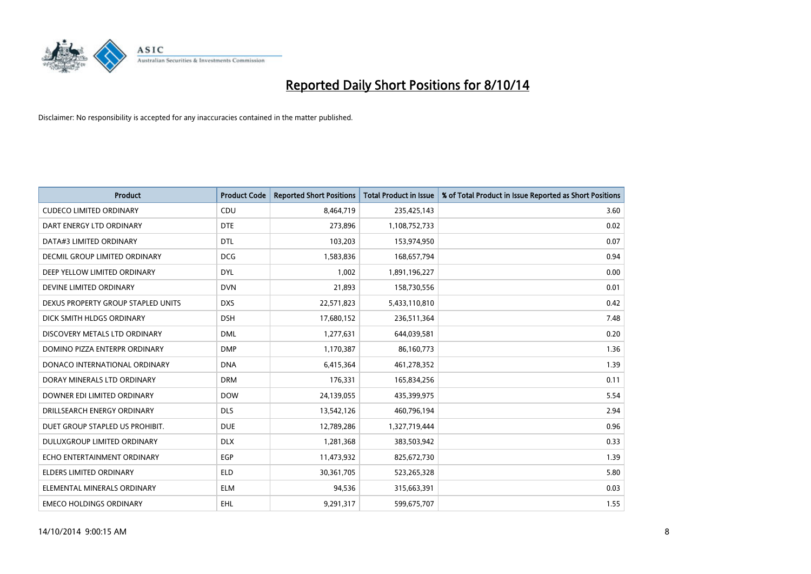

| <b>Product</b>                     | <b>Product Code</b> | <b>Reported Short Positions</b> | <b>Total Product in Issue</b> | % of Total Product in Issue Reported as Short Positions |
|------------------------------------|---------------------|---------------------------------|-------------------------------|---------------------------------------------------------|
| <b>CUDECO LIMITED ORDINARY</b>     | CDU                 | 8,464,719                       | 235,425,143                   | 3.60                                                    |
| DART ENERGY LTD ORDINARY           | <b>DTE</b>          | 273,896                         | 1,108,752,733                 | 0.02                                                    |
| DATA#3 LIMITED ORDINARY            | <b>DTL</b>          | 103,203                         | 153,974,950                   | 0.07                                                    |
| DECMIL GROUP LIMITED ORDINARY      | <b>DCG</b>          | 1,583,836                       | 168,657,794                   | 0.94                                                    |
| DEEP YELLOW LIMITED ORDINARY       | <b>DYL</b>          | 1,002                           | 1,891,196,227                 | 0.00                                                    |
| DEVINE LIMITED ORDINARY            | <b>DVN</b>          | 21,893                          | 158,730,556                   | 0.01                                                    |
| DEXUS PROPERTY GROUP STAPLED UNITS | <b>DXS</b>          | 22,571,823                      | 5,433,110,810                 | 0.42                                                    |
| DICK SMITH HLDGS ORDINARY          | <b>DSH</b>          | 17,680,152                      | 236,511,364                   | 7.48                                                    |
| DISCOVERY METALS LTD ORDINARY      | <b>DML</b>          | 1,277,631                       | 644,039,581                   | 0.20                                                    |
| DOMINO PIZZA ENTERPR ORDINARY      | <b>DMP</b>          | 1,170,387                       | 86,160,773                    | 1.36                                                    |
| DONACO INTERNATIONAL ORDINARY      | <b>DNA</b>          | 6,415,364                       | 461,278,352                   | 1.39                                                    |
| DORAY MINERALS LTD ORDINARY        | <b>DRM</b>          | 176,331                         | 165,834,256                   | 0.11                                                    |
| DOWNER EDI LIMITED ORDINARY        | <b>DOW</b>          | 24,139,055                      | 435,399,975                   | 5.54                                                    |
| DRILLSEARCH ENERGY ORDINARY        | <b>DLS</b>          | 13,542,126                      | 460,796,194                   | 2.94                                                    |
| DUET GROUP STAPLED US PROHIBIT.    | <b>DUE</b>          | 12,789,286                      | 1,327,719,444                 | 0.96                                                    |
| DULUXGROUP LIMITED ORDINARY        | <b>DLX</b>          | 1,281,368                       | 383,503,942                   | 0.33                                                    |
| ECHO ENTERTAINMENT ORDINARY        | EGP                 | 11,473,932                      | 825,672,730                   | 1.39                                                    |
| ELDERS LIMITED ORDINARY            | <b>ELD</b>          | 30, 361, 705                    | 523,265,328                   | 5.80                                                    |
| ELEMENTAL MINERALS ORDINARY        | <b>ELM</b>          | 94,536                          | 315,663,391                   | 0.03                                                    |
| <b>EMECO HOLDINGS ORDINARY</b>     | EHL                 | 9,291,317                       | 599,675,707                   | 1.55                                                    |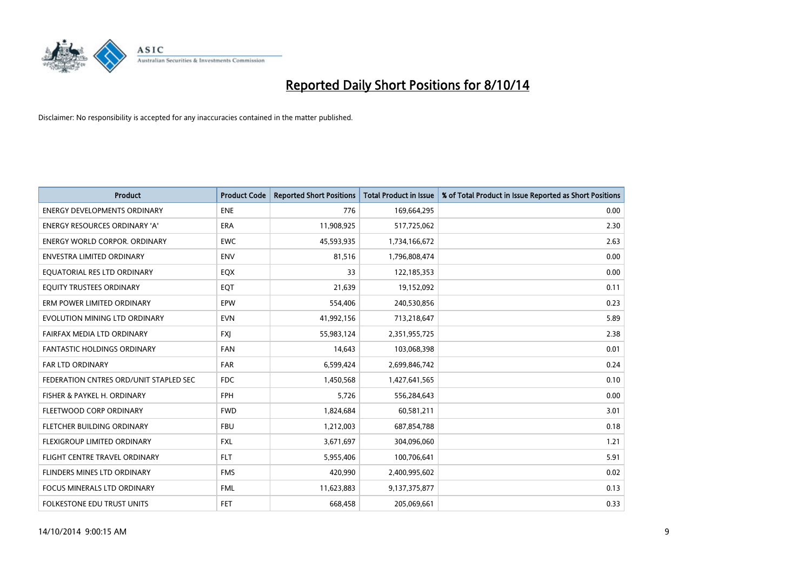

| <b>Product</b>                         | <b>Product Code</b> | <b>Reported Short Positions</b> | <b>Total Product in Issue</b> | % of Total Product in Issue Reported as Short Positions |
|----------------------------------------|---------------------|---------------------------------|-------------------------------|---------------------------------------------------------|
| <b>ENERGY DEVELOPMENTS ORDINARY</b>    | <b>ENE</b>          | 776                             | 169,664,295                   | 0.00                                                    |
| <b>ENERGY RESOURCES ORDINARY 'A'</b>   | <b>ERA</b>          | 11,908,925                      | 517,725,062                   | 2.30                                                    |
| <b>ENERGY WORLD CORPOR. ORDINARY</b>   | <b>EWC</b>          | 45,593,935                      | 1,734,166,672                 | 2.63                                                    |
| <b>ENVESTRA LIMITED ORDINARY</b>       | <b>ENV</b>          | 81,516                          | 1,796,808,474                 | 0.00                                                    |
| EQUATORIAL RES LTD ORDINARY            | EQX                 | 33                              | 122,185,353                   | 0.00                                                    |
| EQUITY TRUSTEES ORDINARY               | EQT                 | 21,639                          | 19,152,092                    | 0.11                                                    |
| ERM POWER LIMITED ORDINARY             | EPW                 | 554,406                         | 240,530,856                   | 0.23                                                    |
| EVOLUTION MINING LTD ORDINARY          | <b>EVN</b>          | 41,992,156                      | 713,218,647                   | 5.89                                                    |
| FAIRFAX MEDIA LTD ORDINARY             | <b>FXI</b>          | 55,983,124                      | 2,351,955,725                 | 2.38                                                    |
| <b>FANTASTIC HOLDINGS ORDINARY</b>     | <b>FAN</b>          | 14,643                          | 103,068,398                   | 0.01                                                    |
| FAR LTD ORDINARY                       | FAR                 | 6,599,424                       | 2,699,846,742                 | 0.24                                                    |
| FEDERATION CNTRES ORD/UNIT STAPLED SEC | <b>FDC</b>          | 1,450,568                       | 1,427,641,565                 | 0.10                                                    |
| FISHER & PAYKEL H. ORDINARY            | <b>FPH</b>          | 5,726                           | 556,284,643                   | 0.00                                                    |
| FLEETWOOD CORP ORDINARY                | <b>FWD</b>          | 1,824,684                       | 60,581,211                    | 3.01                                                    |
| FLETCHER BUILDING ORDINARY             | <b>FBU</b>          | 1,212,003                       | 687,854,788                   | 0.18                                                    |
| FLEXIGROUP LIMITED ORDINARY            | <b>FXL</b>          | 3,671,697                       | 304,096,060                   | 1.21                                                    |
| <b>FLIGHT CENTRE TRAVEL ORDINARY</b>   | <b>FLT</b>          | 5,955,406                       | 100,706,641                   | 5.91                                                    |
| FLINDERS MINES LTD ORDINARY            | <b>FMS</b>          | 420,990                         | 2,400,995,602                 | 0.02                                                    |
| <b>FOCUS MINERALS LTD ORDINARY</b>     | <b>FML</b>          | 11,623,883                      | 9,137,375,877                 | 0.13                                                    |
| FOLKESTONE EDU TRUST UNITS             | FET.                | 668,458                         | 205,069,661                   | 0.33                                                    |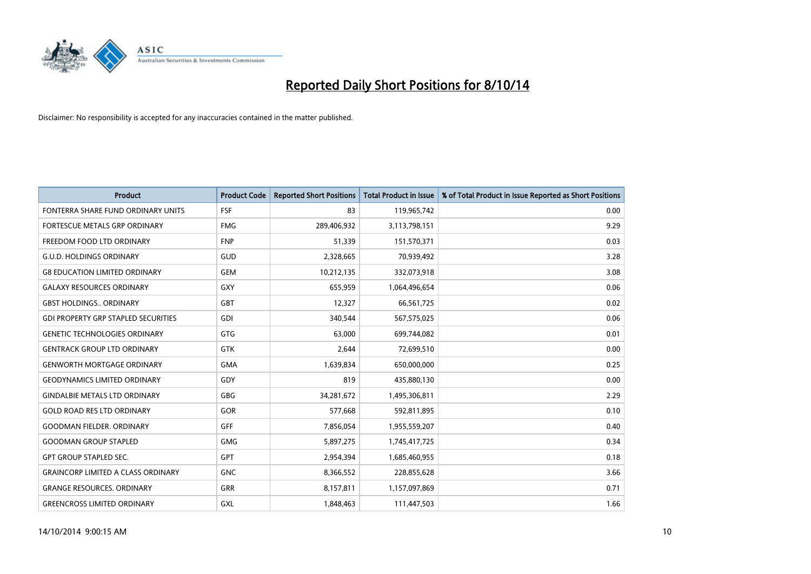

| <b>Product</b>                             | <b>Product Code</b> | <b>Reported Short Positions</b> | <b>Total Product in Issue</b> | % of Total Product in Issue Reported as Short Positions |
|--------------------------------------------|---------------------|---------------------------------|-------------------------------|---------------------------------------------------------|
| FONTERRA SHARE FUND ORDINARY UNITS         | <b>FSF</b>          | 83                              | 119,965,742                   | 0.00                                                    |
| FORTESCUE METALS GRP ORDINARY              | <b>FMG</b>          | 289,406,932                     | 3,113,798,151                 | 9.29                                                    |
| FREEDOM FOOD LTD ORDINARY                  | <b>FNP</b>          | 51,339                          | 151,570,371                   | 0.03                                                    |
| <b>G.U.D. HOLDINGS ORDINARY</b>            | GUD                 | 2,328,665                       | 70,939,492                    | 3.28                                                    |
| <b>G8 EDUCATION LIMITED ORDINARY</b>       | <b>GEM</b>          | 10,212,135                      | 332,073,918                   | 3.08                                                    |
| <b>GALAXY RESOURCES ORDINARY</b>           | <b>GXY</b>          | 655,959                         | 1,064,496,654                 | 0.06                                                    |
| <b>GBST HOLDINGS ORDINARY</b>              | GBT                 | 12,327                          | 66,561,725                    | 0.02                                                    |
| <b>GDI PROPERTY GRP STAPLED SECURITIES</b> | GDI                 | 340,544                         | 567,575,025                   | 0.06                                                    |
| <b>GENETIC TECHNOLOGIES ORDINARY</b>       | <b>GTG</b>          | 63.000                          | 699,744,082                   | 0.01                                                    |
| <b>GENTRACK GROUP LTD ORDINARY</b>         | <b>GTK</b>          | 2,644                           | 72,699,510                    | 0.00                                                    |
| <b>GENWORTH MORTGAGE ORDINARY</b>          | <b>GMA</b>          | 1,639,834                       | 650,000,000                   | 0.25                                                    |
| <b>GEODYNAMICS LIMITED ORDINARY</b>        | GDY                 | 819                             | 435,880,130                   | 0.00                                                    |
| <b>GINDALBIE METALS LTD ORDINARY</b>       | <b>GBG</b>          | 34,281,672                      | 1,495,306,811                 | 2.29                                                    |
| <b>GOLD ROAD RES LTD ORDINARY</b>          | GOR                 | 577,668                         | 592,811,895                   | 0.10                                                    |
| <b>GOODMAN FIELDER, ORDINARY</b>           | <b>GFF</b>          | 7,856,054                       | 1,955,559,207                 | 0.40                                                    |
| <b>GOODMAN GROUP STAPLED</b>               | <b>GMG</b>          | 5,897,275                       | 1,745,417,725                 | 0.34                                                    |
| <b>GPT GROUP STAPLED SEC.</b>              | <b>GPT</b>          | 2,954,394                       | 1,685,460,955                 | 0.18                                                    |
| <b>GRAINCORP LIMITED A CLASS ORDINARY</b>  | <b>GNC</b>          | 8,366,552                       | 228,855,628                   | 3.66                                                    |
| <b>GRANGE RESOURCES, ORDINARY</b>          | <b>GRR</b>          | 8,157,811                       | 1,157,097,869                 | 0.71                                                    |
| <b>GREENCROSS LIMITED ORDINARY</b>         | GXL                 | 1,848,463                       | 111,447,503                   | 1.66                                                    |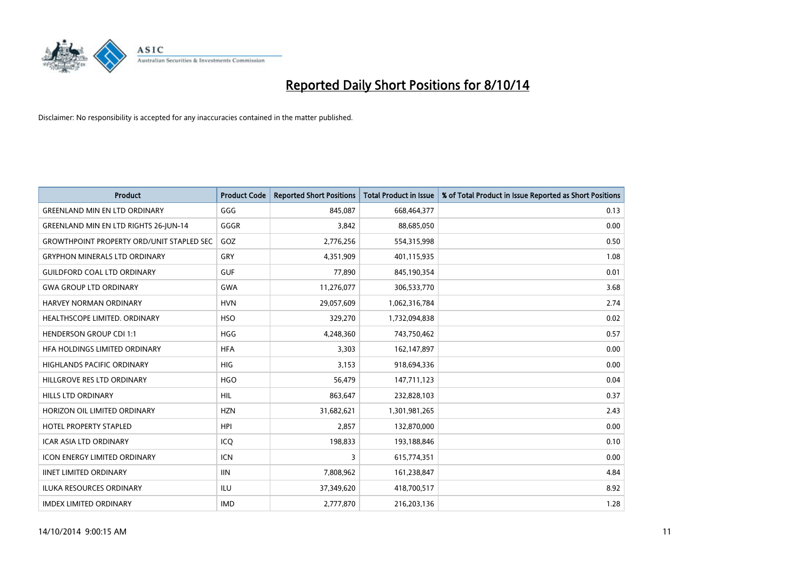

| <b>Product</b>                                   | <b>Product Code</b> | <b>Reported Short Positions</b> | <b>Total Product in Issue</b> | % of Total Product in Issue Reported as Short Positions |
|--------------------------------------------------|---------------------|---------------------------------|-------------------------------|---------------------------------------------------------|
| <b>GREENLAND MIN EN LTD ORDINARY</b>             | GGG                 | 845,087                         | 668,464,377                   | 0.13                                                    |
| <b>GREENLAND MIN EN LTD RIGHTS 26-JUN-14</b>     | GGGR                | 3,842                           | 88,685,050                    | 0.00                                                    |
| <b>GROWTHPOINT PROPERTY ORD/UNIT STAPLED SEC</b> | GOZ                 | 2,776,256                       | 554,315,998                   | 0.50                                                    |
| <b>GRYPHON MINERALS LTD ORDINARY</b>             | GRY                 | 4,351,909                       | 401,115,935                   | 1.08                                                    |
| <b>GUILDFORD COAL LTD ORDINARY</b>               | <b>GUF</b>          | 77,890                          | 845,190,354                   | 0.01                                                    |
| <b>GWA GROUP LTD ORDINARY</b>                    | <b>GWA</b>          | 11,276,077                      | 306,533,770                   | 3.68                                                    |
| <b>HARVEY NORMAN ORDINARY</b>                    | <b>HVN</b>          | 29,057,609                      | 1,062,316,784                 | 2.74                                                    |
| HEALTHSCOPE LIMITED. ORDINARY                    | <b>HSO</b>          | 329,270                         | 1,732,094,838                 | 0.02                                                    |
| HENDERSON GROUP CDI 1:1                          | <b>HGG</b>          | 4,248,360                       | 743,750,462                   | 0.57                                                    |
| HFA HOLDINGS LIMITED ORDINARY                    | <b>HFA</b>          | 3,303                           | 162,147,897                   | 0.00                                                    |
| <b>HIGHLANDS PACIFIC ORDINARY</b>                | <b>HIG</b>          | 3,153                           | 918,694,336                   | 0.00                                                    |
| HILLGROVE RES LTD ORDINARY                       | <b>HGO</b>          | 56,479                          | 147,711,123                   | 0.04                                                    |
| <b>HILLS LTD ORDINARY</b>                        | <b>HIL</b>          | 863,647                         | 232,828,103                   | 0.37                                                    |
| HORIZON OIL LIMITED ORDINARY                     | <b>HZN</b>          | 31,682,621                      | 1,301,981,265                 | 2.43                                                    |
| HOTEL PROPERTY STAPLED                           | <b>HPI</b>          | 2,857                           | 132,870,000                   | 0.00                                                    |
| <b>ICAR ASIA LTD ORDINARY</b>                    | ICQ                 | 198,833                         | 193,188,846                   | 0.10                                                    |
| <b>ICON ENERGY LIMITED ORDINARY</b>              | <b>ICN</b>          | 3                               | 615,774,351                   | 0.00                                                    |
| <b>IINET LIMITED ORDINARY</b>                    | <b>IIN</b>          | 7,808,962                       | 161,238,847                   | 4.84                                                    |
| <b>ILUKA RESOURCES ORDINARY</b>                  | ILU                 | 37,349,620                      | 418,700,517                   | 8.92                                                    |
| <b>IMDEX LIMITED ORDINARY</b>                    | <b>IMD</b>          | 2,777,870                       | 216,203,136                   | 1.28                                                    |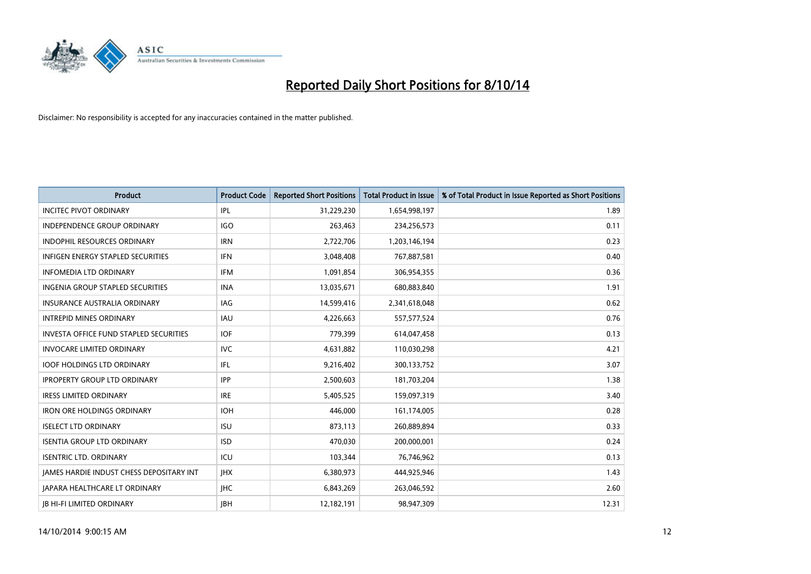

| <b>Product</b>                                | <b>Product Code</b> | <b>Reported Short Positions</b> | <b>Total Product in Issue</b> | % of Total Product in Issue Reported as Short Positions |
|-----------------------------------------------|---------------------|---------------------------------|-------------------------------|---------------------------------------------------------|
| <b>INCITEC PIVOT ORDINARY</b>                 | IPL                 | 31,229,230                      | 1,654,998,197                 | 1.89                                                    |
| <b>INDEPENDENCE GROUP ORDINARY</b>            | IGO                 | 263,463                         | 234,256,573                   | 0.11                                                    |
| <b>INDOPHIL RESOURCES ORDINARY</b>            | <b>IRN</b>          | 2,722,706                       | 1,203,146,194                 | 0.23                                                    |
| INFIGEN ENERGY STAPLED SECURITIES             | <b>IFN</b>          | 3,048,408                       | 767,887,581                   | 0.40                                                    |
| <b>INFOMEDIA LTD ORDINARY</b>                 | <b>IFM</b>          | 1,091,854                       | 306,954,355                   | 0.36                                                    |
| INGENIA GROUP STAPLED SECURITIES              | <b>INA</b>          | 13,035,671                      | 680,883,840                   | 1.91                                                    |
| <b>INSURANCE AUSTRALIA ORDINARY</b>           | IAG                 | 14,599,416                      | 2,341,618,048                 | 0.62                                                    |
| <b>INTREPID MINES ORDINARY</b>                | <b>IAU</b>          | 4,226,663                       | 557, 577, 524                 | 0.76                                                    |
| <b>INVESTA OFFICE FUND STAPLED SECURITIES</b> | <b>IOF</b>          | 779,399                         | 614,047,458                   | 0.13                                                    |
| <b>INVOCARE LIMITED ORDINARY</b>              | <b>IVC</b>          | 4,631,882                       | 110,030,298                   | 4.21                                                    |
| <b>IOOF HOLDINGS LTD ORDINARY</b>             | IFL                 | 9,216,402                       | 300,133,752                   | 3.07                                                    |
| <b>IPROPERTY GROUP LTD ORDINARY</b>           | <b>IPP</b>          | 2,500,603                       | 181,703,204                   | 1.38                                                    |
| <b>IRESS LIMITED ORDINARY</b>                 | <b>IRE</b>          | 5,405,525                       | 159,097,319                   | 3.40                                                    |
| <b>IRON ORE HOLDINGS ORDINARY</b>             | <b>IOH</b>          | 446.000                         | 161,174,005                   | 0.28                                                    |
| <b>ISELECT LTD ORDINARY</b>                   | <b>ISU</b>          | 873,113                         | 260,889,894                   | 0.33                                                    |
| <b>ISENTIA GROUP LTD ORDINARY</b>             | <b>ISD</b>          | 470,030                         | 200,000,001                   | 0.24                                                    |
| <b>ISENTRIC LTD. ORDINARY</b>                 | ICU                 | 103,344                         | 76,746,962                    | 0.13                                                    |
| JAMES HARDIE INDUST CHESS DEPOSITARY INT      | <b>IHX</b>          | 6,380,973                       | 444,925,946                   | 1.43                                                    |
| <b>IAPARA HEALTHCARE LT ORDINARY</b>          | <b>IHC</b>          | 6,843,269                       | 263,046,592                   | 2.60                                                    |
| <b>IB HI-FI LIMITED ORDINARY</b>              | <b>JBH</b>          | 12,182,191                      | 98,947,309                    | 12.31                                                   |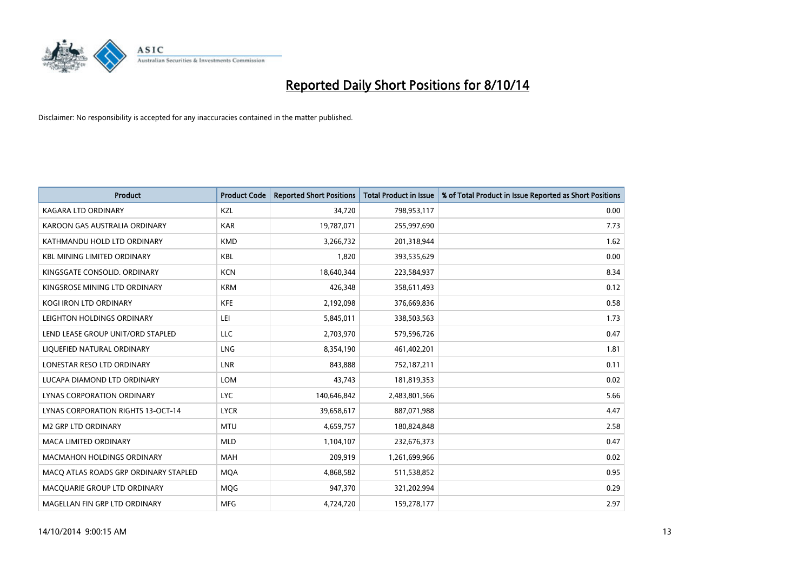

| <b>Product</b>                            | <b>Product Code</b> | <b>Reported Short Positions</b> | <b>Total Product in Issue</b> | % of Total Product in Issue Reported as Short Positions |
|-------------------------------------------|---------------------|---------------------------------|-------------------------------|---------------------------------------------------------|
| <b>KAGARA LTD ORDINARY</b>                | KZL                 | 34,720                          | 798,953,117                   | 0.00                                                    |
| KAROON GAS AUSTRALIA ORDINARY             | <b>KAR</b>          | 19,787,071                      | 255,997,690                   | 7.73                                                    |
| KATHMANDU HOLD LTD ORDINARY               | <b>KMD</b>          | 3,266,732                       | 201,318,944                   | 1.62                                                    |
| <b>KBL MINING LIMITED ORDINARY</b>        | <b>KBL</b>          | 1,820                           | 393,535,629                   | 0.00                                                    |
| KINGSGATE CONSOLID, ORDINARY              | <b>KCN</b>          | 18,640,344                      | 223,584,937                   | 8.34                                                    |
| KINGSROSE MINING LTD ORDINARY             | <b>KRM</b>          | 426,348                         | 358,611,493                   | 0.12                                                    |
| <b>KOGI IRON LTD ORDINARY</b>             | <b>KFE</b>          | 2,192,098                       | 376,669,836                   | 0.58                                                    |
| LEIGHTON HOLDINGS ORDINARY                | LEI                 | 5,845,011                       | 338,503,563                   | 1.73                                                    |
| LEND LEASE GROUP UNIT/ORD STAPLED         | <b>LLC</b>          | 2,703,970                       | 579,596,726                   | 0.47                                                    |
| LIOUEFIED NATURAL ORDINARY                | LNG                 | 8,354,190                       | 461,402,201                   | 1.81                                                    |
| LONESTAR RESO LTD ORDINARY                | <b>LNR</b>          | 843,888                         | 752,187,211                   | 0.11                                                    |
| LUCAPA DIAMOND LTD ORDINARY               | LOM                 | 43,743                          | 181,819,353                   | 0.02                                                    |
| LYNAS CORPORATION ORDINARY                | <b>LYC</b>          | 140,646,842                     | 2,483,801,566                 | 5.66                                                    |
| <b>LYNAS CORPORATION RIGHTS 13-OCT-14</b> | <b>LYCR</b>         | 39,658,617                      | 887,071,988                   | 4.47                                                    |
| <b>M2 GRP LTD ORDINARY</b>                | <b>MTU</b>          | 4,659,757                       | 180,824,848                   | 2.58                                                    |
| <b>MACA LIMITED ORDINARY</b>              | <b>MLD</b>          | 1,104,107                       | 232,676,373                   | 0.47                                                    |
| <b>MACMAHON HOLDINGS ORDINARY</b>         | <b>MAH</b>          | 209,919                         | 1,261,699,966                 | 0.02                                                    |
| MACO ATLAS ROADS GRP ORDINARY STAPLED     | <b>MOA</b>          | 4,868,582                       | 511,538,852                   | 0.95                                                    |
| MACOUARIE GROUP LTD ORDINARY              | <b>MOG</b>          | 947,370                         | 321,202,994                   | 0.29                                                    |
| MAGELLAN FIN GRP LTD ORDINARY             | <b>MFG</b>          | 4,724,720                       | 159,278,177                   | 2.97                                                    |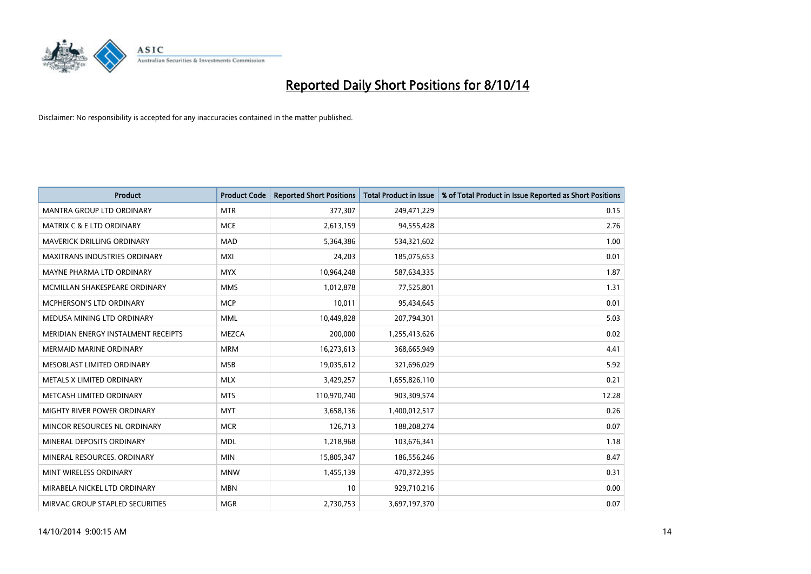

| <b>Product</b>                       | <b>Product Code</b> | <b>Reported Short Positions</b> | <b>Total Product in Issue</b> | % of Total Product in Issue Reported as Short Positions |
|--------------------------------------|---------------------|---------------------------------|-------------------------------|---------------------------------------------------------|
| <b>MANTRA GROUP LTD ORDINARY</b>     | <b>MTR</b>          | 377,307                         | 249,471,229                   | 0.15                                                    |
| <b>MATRIX C &amp; E LTD ORDINARY</b> | <b>MCE</b>          | 2,613,159                       | 94,555,428                    | 2.76                                                    |
| <b>MAVERICK DRILLING ORDINARY</b>    | <b>MAD</b>          | 5,364,386                       | 534,321,602                   | 1.00                                                    |
| <b>MAXITRANS INDUSTRIES ORDINARY</b> | <b>MXI</b>          | 24,203                          | 185,075,653                   | 0.01                                                    |
| MAYNE PHARMA LTD ORDINARY            | <b>MYX</b>          | 10,964,248                      | 587,634,335                   | 1.87                                                    |
| MCMILLAN SHAKESPEARE ORDINARY        | <b>MMS</b>          | 1,012,878                       | 77,525,801                    | 1.31                                                    |
| <b>MCPHERSON'S LTD ORDINARY</b>      | <b>MCP</b>          | 10,011                          | 95,434,645                    | 0.01                                                    |
| MEDUSA MINING LTD ORDINARY           | <b>MML</b>          | 10,449,828                      | 207,794,301                   | 5.03                                                    |
| MERIDIAN ENERGY INSTALMENT RECEIPTS  | <b>MEZCA</b>        | 200,000                         | 1,255,413,626                 | 0.02                                                    |
| <b>MERMAID MARINE ORDINARY</b>       | <b>MRM</b>          | 16,273,613                      | 368,665,949                   | 4.41                                                    |
| MESOBLAST LIMITED ORDINARY           | <b>MSB</b>          | 19,035,612                      | 321,696,029                   | 5.92                                                    |
| METALS X LIMITED ORDINARY            | <b>MLX</b>          | 3,429,257                       | 1,655,826,110                 | 0.21                                                    |
| METCASH LIMITED ORDINARY             | <b>MTS</b>          | 110,970,740                     | 903,309,574                   | 12.28                                                   |
| MIGHTY RIVER POWER ORDINARY          | <b>MYT</b>          | 3,658,136                       | 1,400,012,517                 | 0.26                                                    |
| MINCOR RESOURCES NL ORDINARY         | <b>MCR</b>          | 126,713                         | 188,208,274                   | 0.07                                                    |
| MINERAL DEPOSITS ORDINARY            | <b>MDL</b>          | 1,218,968                       | 103,676,341                   | 1.18                                                    |
| MINERAL RESOURCES. ORDINARY          | <b>MIN</b>          | 15,805,347                      | 186,556,246                   | 8.47                                                    |
| MINT WIRELESS ORDINARY               | <b>MNW</b>          | 1,455,139                       | 470,372,395                   | 0.31                                                    |
| MIRABELA NICKEL LTD ORDINARY         | <b>MBN</b>          | 10                              | 929,710,216                   | 0.00                                                    |
| MIRVAC GROUP STAPLED SECURITIES      | <b>MGR</b>          | 2,730,753                       | 3,697,197,370                 | 0.07                                                    |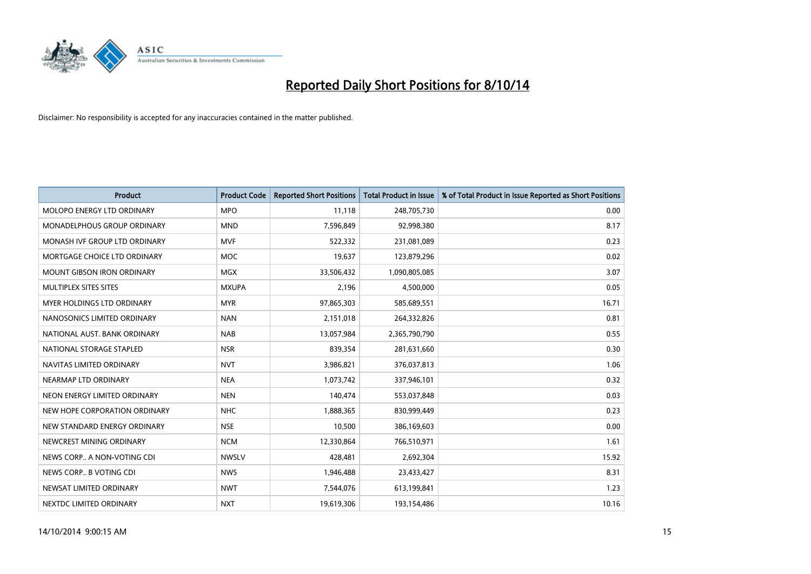

| <b>Product</b>                    | <b>Product Code</b> | <b>Reported Short Positions</b> | <b>Total Product in Issue</b> | % of Total Product in Issue Reported as Short Positions |
|-----------------------------------|---------------------|---------------------------------|-------------------------------|---------------------------------------------------------|
| MOLOPO ENERGY LTD ORDINARY        | <b>MPO</b>          | 11,118                          | 248,705,730                   | 0.00                                                    |
| MONADELPHOUS GROUP ORDINARY       | <b>MND</b>          | 7,596,849                       | 92,998,380                    | 8.17                                                    |
| MONASH IVF GROUP LTD ORDINARY     | <b>MVF</b>          | 522,332                         | 231,081,089                   | 0.23                                                    |
| MORTGAGE CHOICE LTD ORDINARY      | <b>MOC</b>          | 19,637                          | 123,879,296                   | 0.02                                                    |
| <b>MOUNT GIBSON IRON ORDINARY</b> | <b>MGX</b>          | 33,506,432                      | 1,090,805,085                 | 3.07                                                    |
| MULTIPLEX SITES SITES             | <b>MXUPA</b>        | 2,196                           | 4,500,000                     | 0.05                                                    |
| MYER HOLDINGS LTD ORDINARY        | <b>MYR</b>          | 97,865,303                      | 585,689,551                   | 16.71                                                   |
| NANOSONICS LIMITED ORDINARY       | <b>NAN</b>          | 2,151,018                       | 264,332,826                   | 0.81                                                    |
| NATIONAL AUST, BANK ORDINARY      | <b>NAB</b>          | 13,057,984                      | 2,365,790,790                 | 0.55                                                    |
| NATIONAL STORAGE STAPLED          | <b>NSR</b>          | 839,354                         | 281,631,660                   | 0.30                                                    |
| NAVITAS LIMITED ORDINARY          | <b>NVT</b>          | 3,986,821                       | 376,037,813                   | 1.06                                                    |
| NEARMAP LTD ORDINARY              | <b>NEA</b>          | 1,073,742                       | 337,946,101                   | 0.32                                                    |
| NEON ENERGY LIMITED ORDINARY      | <b>NEN</b>          | 140,474                         | 553,037,848                   | 0.03                                                    |
| NEW HOPE CORPORATION ORDINARY     | <b>NHC</b>          | 1,888,365                       | 830,999,449                   | 0.23                                                    |
| NEW STANDARD ENERGY ORDINARY      | <b>NSE</b>          | 10,500                          | 386,169,603                   | 0.00                                                    |
| NEWCREST MINING ORDINARY          | <b>NCM</b>          | 12,330,864                      | 766,510,971                   | 1.61                                                    |
| NEWS CORP A NON-VOTING CDI        | <b>NWSLV</b>        | 428,481                         | 2,692,304                     | 15.92                                                   |
| NEWS CORP B VOTING CDI            | <b>NWS</b>          | 1,946,488                       | 23,433,427                    | 8.31                                                    |
| NEWSAT LIMITED ORDINARY           | <b>NWT</b>          | 7,544,076                       | 613,199,841                   | 1.23                                                    |
| NEXTDC LIMITED ORDINARY           | <b>NXT</b>          | 19,619,306                      | 193,154,486                   | 10.16                                                   |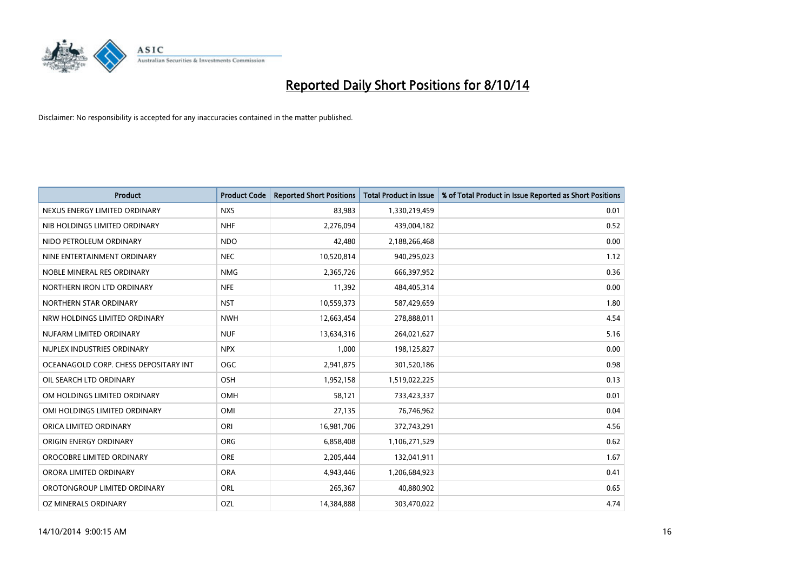

| <b>Product</b>                        | <b>Product Code</b> | <b>Reported Short Positions</b> | <b>Total Product in Issue</b> | % of Total Product in Issue Reported as Short Positions |
|---------------------------------------|---------------------|---------------------------------|-------------------------------|---------------------------------------------------------|
| NEXUS ENERGY LIMITED ORDINARY         | <b>NXS</b>          | 83,983                          | 1,330,219,459                 | 0.01                                                    |
| NIB HOLDINGS LIMITED ORDINARY         | <b>NHF</b>          | 2,276,094                       | 439,004,182                   | 0.52                                                    |
| NIDO PETROLEUM ORDINARY               | <b>NDO</b>          | 42,480                          | 2,188,266,468                 | 0.00                                                    |
| NINE ENTERTAINMENT ORDINARY           | <b>NEC</b>          | 10,520,814                      | 940,295,023                   | 1.12                                                    |
| NOBLE MINERAL RES ORDINARY            | <b>NMG</b>          | 2,365,726                       | 666,397,952                   | 0.36                                                    |
| NORTHERN IRON LTD ORDINARY            | <b>NFE</b>          | 11,392                          | 484,405,314                   | 0.00                                                    |
| NORTHERN STAR ORDINARY                | <b>NST</b>          | 10,559,373                      | 587,429,659                   | 1.80                                                    |
| NRW HOLDINGS LIMITED ORDINARY         | <b>NWH</b>          | 12,663,454                      | 278,888,011                   | 4.54                                                    |
| NUFARM LIMITED ORDINARY               | <b>NUF</b>          | 13,634,316                      | 264,021,627                   | 5.16                                                    |
| NUPLEX INDUSTRIES ORDINARY            | <b>NPX</b>          | 1,000                           | 198,125,827                   | 0.00                                                    |
| OCEANAGOLD CORP. CHESS DEPOSITARY INT | <b>OGC</b>          | 2,941,875                       | 301,520,186                   | 0.98                                                    |
| OIL SEARCH LTD ORDINARY               | OSH                 | 1,952,158                       | 1,519,022,225                 | 0.13                                                    |
| OM HOLDINGS LIMITED ORDINARY          | OMH                 | 58,121                          | 733,423,337                   | 0.01                                                    |
| OMI HOLDINGS LIMITED ORDINARY         | OMI                 | 27,135                          | 76,746,962                    | 0.04                                                    |
| ORICA LIMITED ORDINARY                | ORI                 | 16,981,706                      | 372,743,291                   | 4.56                                                    |
| ORIGIN ENERGY ORDINARY                | ORG                 | 6,858,408                       | 1,106,271,529                 | 0.62                                                    |
| OROCOBRE LIMITED ORDINARY             | <b>ORE</b>          | 2,205,444                       | 132,041,911                   | 1.67                                                    |
| ORORA LIMITED ORDINARY                | <b>ORA</b>          | 4,943,446                       | 1,206,684,923                 | 0.41                                                    |
| OROTONGROUP LIMITED ORDINARY          | ORL                 | 265,367                         | 40,880,902                    | 0.65                                                    |
| OZ MINERALS ORDINARY                  | OZL                 | 14,384,888                      | 303,470,022                   | 4.74                                                    |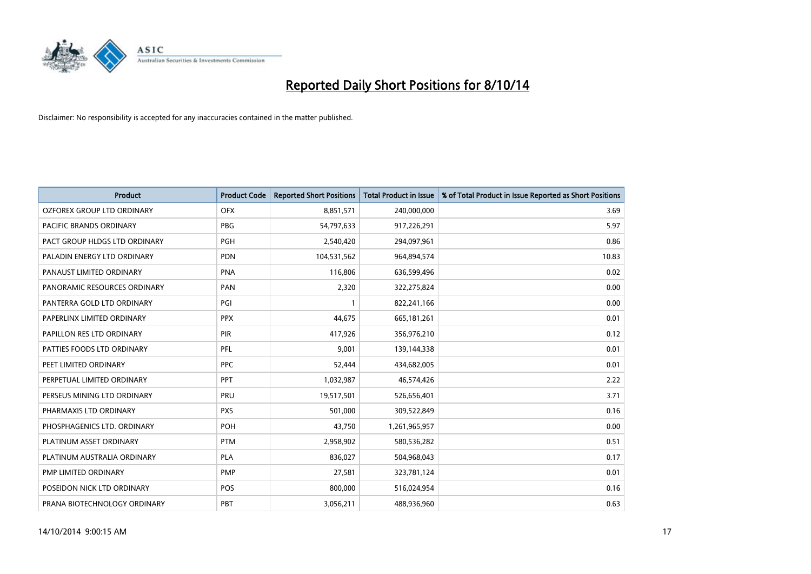

| <b>Product</b>                | <b>Product Code</b> | <b>Reported Short Positions</b> | <b>Total Product in Issue</b> | % of Total Product in Issue Reported as Short Positions |
|-------------------------------|---------------------|---------------------------------|-------------------------------|---------------------------------------------------------|
| OZFOREX GROUP LTD ORDINARY    | <b>OFX</b>          | 8,851,571                       | 240,000,000                   | 3.69                                                    |
| PACIFIC BRANDS ORDINARY       | <b>PBG</b>          | 54,797,633                      | 917,226,291                   | 5.97                                                    |
| PACT GROUP HLDGS LTD ORDINARY | PGH                 | 2,540,420                       | 294,097,961                   | 0.86                                                    |
| PALADIN ENERGY LTD ORDINARY   | <b>PDN</b>          | 104,531,562                     | 964,894,574                   | 10.83                                                   |
| PANAUST LIMITED ORDINARY      | <b>PNA</b>          | 116,806                         | 636,599,496                   | 0.02                                                    |
| PANORAMIC RESOURCES ORDINARY  | PAN                 | 2,320                           | 322,275,824                   | 0.00                                                    |
| PANTERRA GOLD LTD ORDINARY    | PGI                 |                                 | 822,241,166                   | 0.00                                                    |
| PAPERLINX LIMITED ORDINARY    | <b>PPX</b>          | 44,675                          | 665, 181, 261                 | 0.01                                                    |
| PAPILLON RES LTD ORDINARY     | PIR                 | 417,926                         | 356,976,210                   | 0.12                                                    |
| PATTIES FOODS LTD ORDINARY    | <b>PFL</b>          | 9,001                           | 139,144,338                   | 0.01                                                    |
| PEET LIMITED ORDINARY         | <b>PPC</b>          | 52,444                          | 434,682,005                   | 0.01                                                    |
| PERPETUAL LIMITED ORDINARY    | PPT                 | 1,032,987                       | 46,574,426                    | 2.22                                                    |
| PERSEUS MINING LTD ORDINARY   | PRU                 | 19,517,501                      | 526,656,401                   | 3.71                                                    |
| PHARMAXIS LTD ORDINARY        | <b>PXS</b>          | 501,000                         | 309,522,849                   | 0.16                                                    |
| PHOSPHAGENICS LTD. ORDINARY   | POH                 | 43,750                          | 1,261,965,957                 | 0.00                                                    |
| PLATINUM ASSET ORDINARY       | <b>PTM</b>          | 2,958,902                       | 580,536,282                   | 0.51                                                    |
| PLATINUM AUSTRALIA ORDINARY   | PLA                 | 836,027                         | 504,968,043                   | 0.17                                                    |
| PMP LIMITED ORDINARY          | <b>PMP</b>          | 27,581                          | 323,781,124                   | 0.01                                                    |
| POSEIDON NICK LTD ORDINARY    | <b>POS</b>          | 800,000                         | 516,024,954                   | 0.16                                                    |
| PRANA BIOTECHNOLOGY ORDINARY  | PBT                 | 3,056,211                       | 488,936,960                   | 0.63                                                    |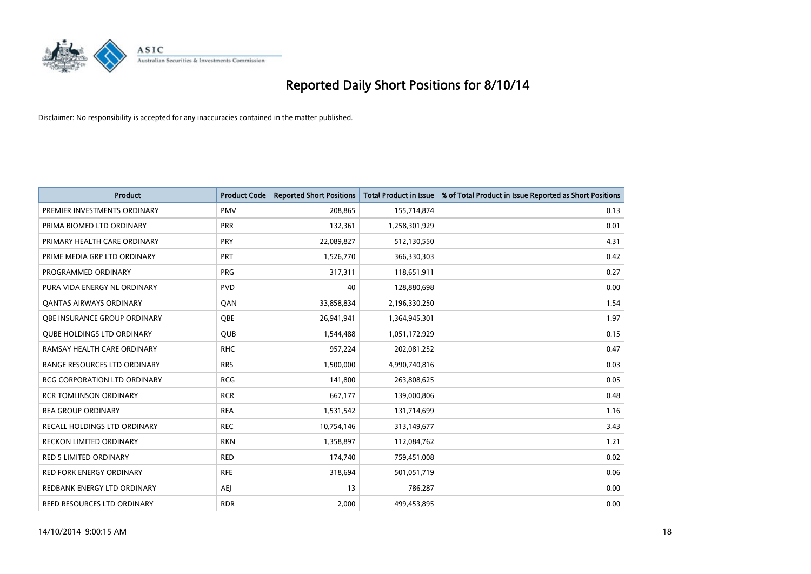

| <b>Product</b>                      | <b>Product Code</b> | <b>Reported Short Positions</b> | <b>Total Product in Issue</b> | % of Total Product in Issue Reported as Short Positions |
|-------------------------------------|---------------------|---------------------------------|-------------------------------|---------------------------------------------------------|
| PREMIER INVESTMENTS ORDINARY        | <b>PMV</b>          | 208,865                         | 155,714,874                   | 0.13                                                    |
| PRIMA BIOMED LTD ORDINARY           | <b>PRR</b>          | 132,361                         | 1,258,301,929                 | 0.01                                                    |
| PRIMARY HEALTH CARE ORDINARY        | <b>PRY</b>          | 22,089,827                      | 512,130,550                   | 4.31                                                    |
| PRIME MEDIA GRP LTD ORDINARY        | <b>PRT</b>          | 1,526,770                       | 366,330,303                   | 0.42                                                    |
| PROGRAMMED ORDINARY                 | <b>PRG</b>          | 317,311                         | 118,651,911                   | 0.27                                                    |
| PURA VIDA ENERGY NL ORDINARY        | <b>PVD</b>          | 40                              | 128,880,698                   | 0.00                                                    |
| <b>QANTAS AIRWAYS ORDINARY</b>      | QAN                 | 33,858,834                      | 2,196,330,250                 | 1.54                                                    |
| OBE INSURANCE GROUP ORDINARY        | <b>OBE</b>          | 26,941,941                      | 1,364,945,301                 | 1.97                                                    |
| <b>QUBE HOLDINGS LTD ORDINARY</b>   | <b>QUB</b>          | 1,544,488                       | 1,051,172,929                 | 0.15                                                    |
| RAMSAY HEALTH CARE ORDINARY         | <b>RHC</b>          | 957,224                         | 202,081,252                   | 0.47                                                    |
| RANGE RESOURCES LTD ORDINARY        | <b>RRS</b>          | 1,500,000                       | 4,990,740,816                 | 0.03                                                    |
| <b>RCG CORPORATION LTD ORDINARY</b> | <b>RCG</b>          | 141,800                         | 263,808,625                   | 0.05                                                    |
| <b>RCR TOMLINSON ORDINARY</b>       | <b>RCR</b>          | 667,177                         | 139,000,806                   | 0.48                                                    |
| <b>REA GROUP ORDINARY</b>           | <b>REA</b>          | 1,531,542                       | 131,714,699                   | 1.16                                                    |
| RECALL HOLDINGS LTD ORDINARY        | <b>REC</b>          | 10,754,146                      | 313,149,677                   | 3.43                                                    |
| <b>RECKON LIMITED ORDINARY</b>      | <b>RKN</b>          | 1,358,897                       | 112,084,762                   | 1.21                                                    |
| <b>RED 5 LIMITED ORDINARY</b>       | <b>RED</b>          | 174,740                         | 759,451,008                   | 0.02                                                    |
| <b>RED FORK ENERGY ORDINARY</b>     | <b>RFE</b>          | 318,694                         | 501,051,719                   | 0.06                                                    |
| REDBANK ENERGY LTD ORDINARY         | <b>AEJ</b>          | 13                              | 786,287                       | 0.00                                                    |
| REED RESOURCES LTD ORDINARY         | <b>RDR</b>          | 2,000                           | 499,453,895                   | 0.00                                                    |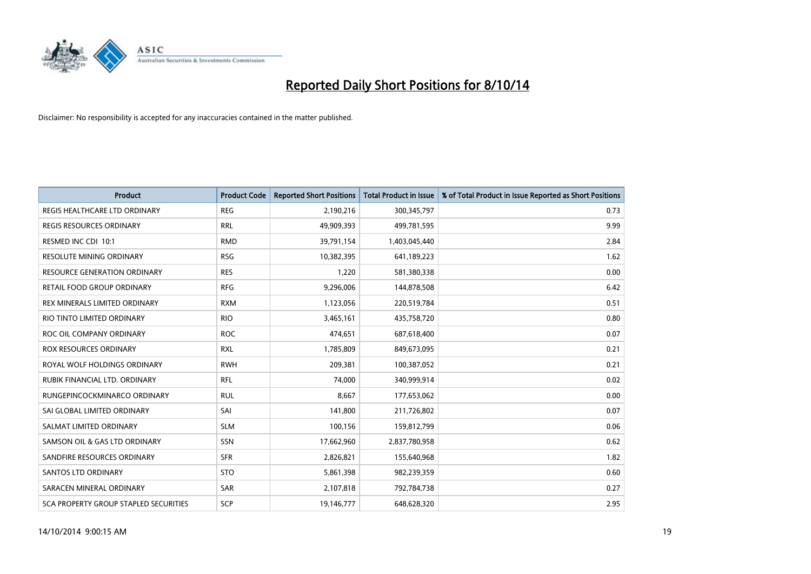

| <b>Product</b>                        | <b>Product Code</b> | <b>Reported Short Positions</b> | <b>Total Product in Issue</b> | % of Total Product in Issue Reported as Short Positions |
|---------------------------------------|---------------------|---------------------------------|-------------------------------|---------------------------------------------------------|
| REGIS HEALTHCARE LTD ORDINARY         | <b>REG</b>          | 2,190,216                       | 300,345,797                   | 0.73                                                    |
| REGIS RESOURCES ORDINARY              | <b>RRL</b>          | 49,909,393                      | 499,781,595                   | 9.99                                                    |
| RESMED INC CDI 10:1                   | <b>RMD</b>          | 39,791,154                      | 1,403,045,440                 | 2.84                                                    |
| <b>RESOLUTE MINING ORDINARY</b>       | <b>RSG</b>          | 10,382,395                      | 641,189,223                   | 1.62                                                    |
| <b>RESOURCE GENERATION ORDINARY</b>   | <b>RES</b>          | 1,220                           | 581,380,338                   | 0.00                                                    |
| RETAIL FOOD GROUP ORDINARY            | <b>RFG</b>          | 9,296,006                       | 144,878,508                   | 6.42                                                    |
| REX MINERALS LIMITED ORDINARY         | <b>RXM</b>          | 1,123,056                       | 220,519,784                   | 0.51                                                    |
| RIO TINTO LIMITED ORDINARY            | <b>RIO</b>          | 3,465,161                       | 435,758,720                   | 0.80                                                    |
| ROC OIL COMPANY ORDINARY              | <b>ROC</b>          | 474,651                         | 687,618,400                   | 0.07                                                    |
| <b>ROX RESOURCES ORDINARY</b>         | <b>RXL</b>          | 1,785,809                       | 849,673,095                   | 0.21                                                    |
| ROYAL WOLF HOLDINGS ORDINARY          | <b>RWH</b>          | 209,381                         | 100,387,052                   | 0.21                                                    |
| RUBIK FINANCIAL LTD. ORDINARY         | RFL                 | 74,000                          | 340,999,914                   | 0.02                                                    |
| RUNGEPINCOCKMINARCO ORDINARY          | <b>RUL</b>          | 8,667                           | 177,653,062                   | 0.00                                                    |
| SAI GLOBAL LIMITED ORDINARY           | SAI                 | 141,800                         | 211,726,802                   | 0.07                                                    |
| SALMAT LIMITED ORDINARY               | <b>SLM</b>          | 100,156                         | 159,812,799                   | 0.06                                                    |
| SAMSON OIL & GAS LTD ORDINARY         | SSN                 | 17,662,960                      | 2,837,780,958                 | 0.62                                                    |
| SANDFIRE RESOURCES ORDINARY           | <b>SFR</b>          | 2,826,821                       | 155,640,968                   | 1.82                                                    |
| SANTOS LTD ORDINARY                   | <b>STO</b>          | 5,861,398                       | 982,239,359                   | 0.60                                                    |
| SARACEN MINERAL ORDINARY              | <b>SAR</b>          | 2,107,818                       | 792,784,738                   | 0.27                                                    |
| SCA PROPERTY GROUP STAPLED SECURITIES | SCP                 | 19,146,777                      | 648,628,320                   | 2.95                                                    |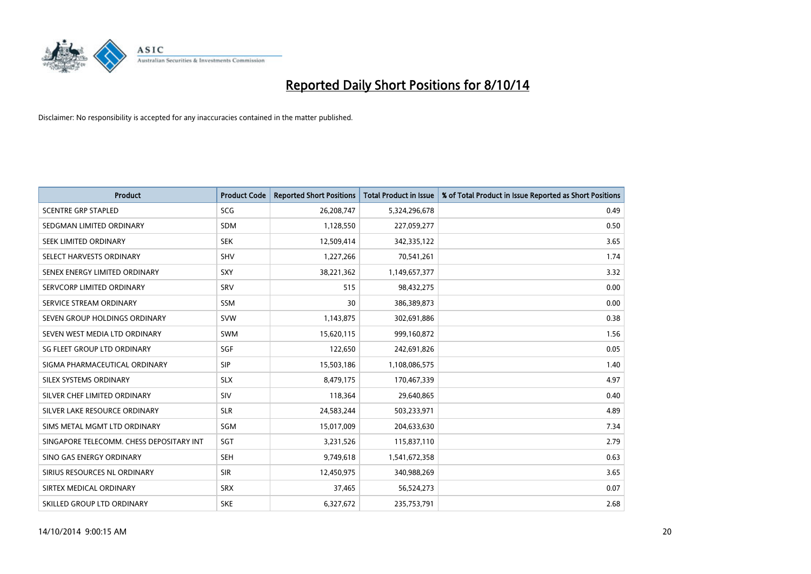

| <b>Product</b>                           | <b>Product Code</b> | <b>Reported Short Positions</b> | <b>Total Product in Issue</b> | % of Total Product in Issue Reported as Short Positions |
|------------------------------------------|---------------------|---------------------------------|-------------------------------|---------------------------------------------------------|
| <b>SCENTRE GRP STAPLED</b>               | <b>SCG</b>          | 26,208,747                      | 5,324,296,678                 | 0.49                                                    |
| SEDGMAN LIMITED ORDINARY                 | <b>SDM</b>          | 1,128,550                       | 227,059,277                   | 0.50                                                    |
| SEEK LIMITED ORDINARY                    | <b>SEK</b>          | 12,509,414                      | 342,335,122                   | 3.65                                                    |
| SELECT HARVESTS ORDINARY                 | SHV                 | 1,227,266                       | 70,541,261                    | 1.74                                                    |
| SENEX ENERGY LIMITED ORDINARY            | SXY                 | 38,221,362                      | 1,149,657,377                 | 3.32                                                    |
| SERVCORP LIMITED ORDINARY                | SRV                 | 515                             | 98,432,275                    | 0.00                                                    |
| SERVICE STREAM ORDINARY                  | <b>SSM</b>          | 30                              | 386,389,873                   | 0.00                                                    |
| SEVEN GROUP HOLDINGS ORDINARY            | <b>SVW</b>          | 1,143,875                       | 302,691,886                   | 0.38                                                    |
| SEVEN WEST MEDIA LTD ORDINARY            | <b>SWM</b>          | 15,620,115                      | 999,160,872                   | 1.56                                                    |
| SG FLEET GROUP LTD ORDINARY              | SGF                 | 122,650                         | 242,691,826                   | 0.05                                                    |
| SIGMA PHARMACEUTICAL ORDINARY            | <b>SIP</b>          | 15,503,186                      | 1,108,086,575                 | 1.40                                                    |
| SILEX SYSTEMS ORDINARY                   | <b>SLX</b>          | 8,479,175                       | 170,467,339                   | 4.97                                                    |
| SILVER CHEF LIMITED ORDINARY             | SIV                 | 118,364                         | 29,640,865                    | 0.40                                                    |
| SILVER LAKE RESOURCE ORDINARY            | <b>SLR</b>          | 24,583,244                      | 503,233,971                   | 4.89                                                    |
| SIMS METAL MGMT LTD ORDINARY             | SGM                 | 15,017,009                      | 204,633,630                   | 7.34                                                    |
| SINGAPORE TELECOMM. CHESS DEPOSITARY INT | SGT                 | 3,231,526                       | 115,837,110                   | 2.79                                                    |
| SINO GAS ENERGY ORDINARY                 | SEH                 | 9,749,618                       | 1,541,672,358                 | 0.63                                                    |
| SIRIUS RESOURCES NL ORDINARY             | <b>SIR</b>          | 12,450,975                      | 340,988,269                   | 3.65                                                    |
| SIRTEX MEDICAL ORDINARY                  | <b>SRX</b>          | 37,465                          | 56,524,273                    | 0.07                                                    |
| SKILLED GROUP LTD ORDINARY               | <b>SKE</b>          | 6,327,672                       | 235,753,791                   | 2.68                                                    |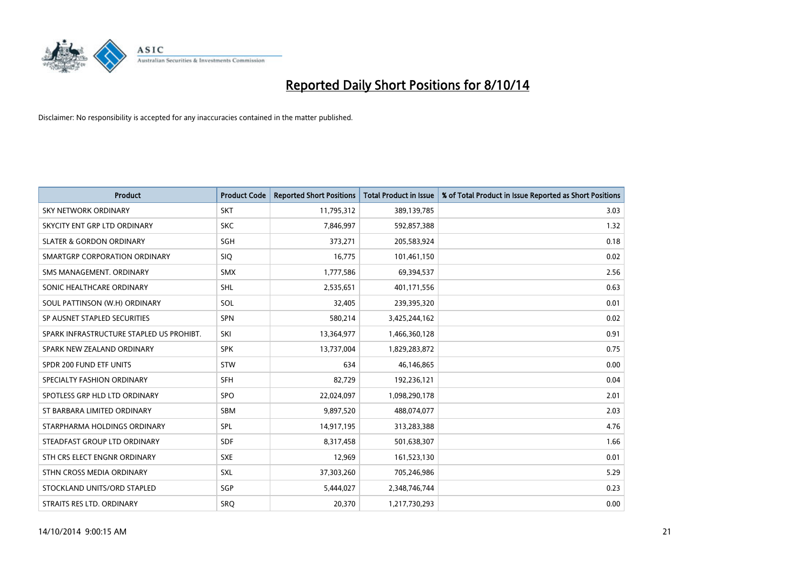

| <b>Product</b>                           | <b>Product Code</b> | <b>Reported Short Positions</b> | <b>Total Product in Issue</b> | % of Total Product in Issue Reported as Short Positions |
|------------------------------------------|---------------------|---------------------------------|-------------------------------|---------------------------------------------------------|
| <b>SKY NETWORK ORDINARY</b>              | <b>SKT</b>          | 11,795,312                      | 389,139,785                   | 3.03                                                    |
| SKYCITY ENT GRP LTD ORDINARY             | <b>SKC</b>          | 7,846,997                       | 592,857,388                   | 1.32                                                    |
| <b>SLATER &amp; GORDON ORDINARY</b>      | SGH                 | 373,271                         | 205,583,924                   | 0.18                                                    |
| SMARTGRP CORPORATION ORDINARY            | <b>SIQ</b>          | 16,775                          | 101,461,150                   | 0.02                                                    |
| SMS MANAGEMENT, ORDINARY                 | SMX                 | 1,777,586                       | 69,394,537                    | 2.56                                                    |
| SONIC HEALTHCARE ORDINARY                | <b>SHL</b>          | 2,535,651                       | 401,171,556                   | 0.63                                                    |
| SOUL PATTINSON (W.H) ORDINARY            | SOL                 | 32,405                          | 239,395,320                   | 0.01                                                    |
| SP AUSNET STAPLED SECURITIES             | <b>SPN</b>          | 580,214                         | 3,425,244,162                 | 0.02                                                    |
| SPARK INFRASTRUCTURE STAPLED US PROHIBT. | SKI                 | 13,364,977                      | 1,466,360,128                 | 0.91                                                    |
| SPARK NEW ZEALAND ORDINARY               | <b>SPK</b>          | 13,737,004                      | 1,829,283,872                 | 0.75                                                    |
| SPDR 200 FUND ETF UNITS                  | <b>STW</b>          | 634                             | 46,146,865                    | 0.00                                                    |
| SPECIALTY FASHION ORDINARY               | <b>SFH</b>          | 82,729                          | 192,236,121                   | 0.04                                                    |
| SPOTLESS GRP HLD LTD ORDINARY            | <b>SPO</b>          | 22,024,097                      | 1,098,290,178                 | 2.01                                                    |
| ST BARBARA LIMITED ORDINARY              | SBM                 | 9,897,520                       | 488,074,077                   | 2.03                                                    |
| STARPHARMA HOLDINGS ORDINARY             | SPL                 | 14,917,195                      | 313,283,388                   | 4.76                                                    |
| STEADFAST GROUP LTD ORDINARY             | SDF                 | 8,317,458                       | 501,638,307                   | 1.66                                                    |
| STH CRS ELECT ENGNR ORDINARY             | <b>SXE</b>          | 12,969                          | 161,523,130                   | 0.01                                                    |
| STHN CROSS MEDIA ORDINARY                | <b>SXL</b>          | 37,303,260                      | 705,246,986                   | 5.29                                                    |
| STOCKLAND UNITS/ORD STAPLED              | SGP                 | 5,444,027                       | 2,348,746,744                 | 0.23                                                    |
| STRAITS RES LTD. ORDINARY                | SRO                 | 20,370                          | 1,217,730,293                 | 0.00                                                    |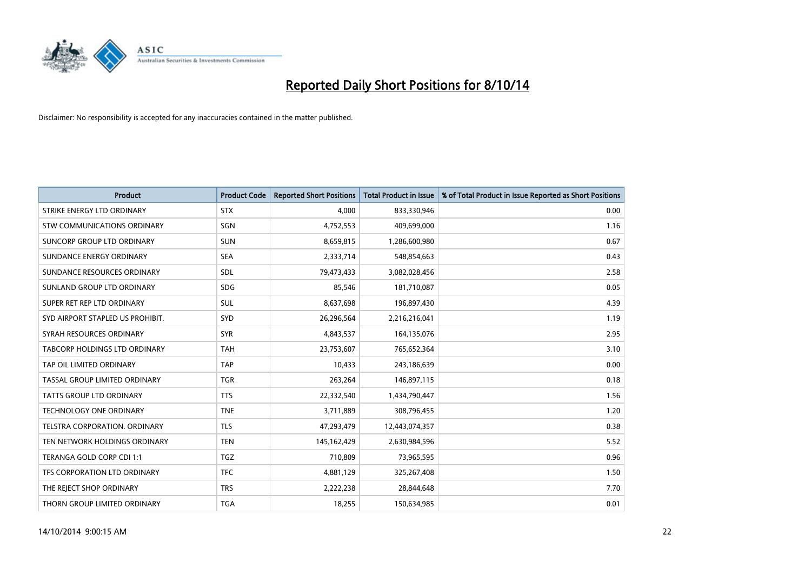

| <b>Product</b>                   | <b>Product Code</b> | <b>Reported Short Positions</b> | <b>Total Product in Issue</b> | % of Total Product in Issue Reported as Short Positions |
|----------------------------------|---------------------|---------------------------------|-------------------------------|---------------------------------------------------------|
| STRIKE ENERGY LTD ORDINARY       | <b>STX</b>          | 4.000                           | 833,330,946                   | 0.00                                                    |
| STW COMMUNICATIONS ORDINARY      | <b>SGN</b>          | 4,752,553                       | 409,699,000                   | 1.16                                                    |
| SUNCORP GROUP LTD ORDINARY       | <b>SUN</b>          | 8,659,815                       | 1,286,600,980                 | 0.67                                                    |
| SUNDANCE ENERGY ORDINARY         | <b>SEA</b>          | 2,333,714                       | 548,854,663                   | 0.43                                                    |
| SUNDANCE RESOURCES ORDINARY      | <b>SDL</b>          | 79,473,433                      | 3,082,028,456                 | 2.58                                                    |
| SUNLAND GROUP LTD ORDINARY       | <b>SDG</b>          | 85,546                          | 181,710,087                   | 0.05                                                    |
| SUPER RET REP LTD ORDINARY       | SUL                 | 8,637,698                       | 196,897,430                   | 4.39                                                    |
| SYD AIRPORT STAPLED US PROHIBIT. | <b>SYD</b>          | 26,296,564                      | 2,216,216,041                 | 1.19                                                    |
| SYRAH RESOURCES ORDINARY         | <b>SYR</b>          | 4,843,537                       | 164,135,076                   | 2.95                                                    |
| TABCORP HOLDINGS LTD ORDINARY    | <b>TAH</b>          | 23,753,607                      | 765,652,364                   | 3.10                                                    |
| TAP OIL LIMITED ORDINARY         | <b>TAP</b>          | 10,433                          | 243,186,639                   | 0.00                                                    |
| TASSAL GROUP LIMITED ORDINARY    | <b>TGR</b>          | 263,264                         | 146,897,115                   | 0.18                                                    |
| <b>TATTS GROUP LTD ORDINARY</b>  | <b>TTS</b>          | 22,332,540                      | 1,434,790,447                 | 1.56                                                    |
| <b>TECHNOLOGY ONE ORDINARY</b>   | <b>TNE</b>          | 3,711,889                       | 308,796,455                   | 1.20                                                    |
| TELSTRA CORPORATION, ORDINARY    | <b>TLS</b>          | 47,293,479                      | 12,443,074,357                | 0.38                                                    |
| TEN NETWORK HOLDINGS ORDINARY    | <b>TEN</b>          | 145, 162, 429                   | 2,630,984,596                 | 5.52                                                    |
| TERANGA GOLD CORP CDI 1:1        | TGZ                 | 710,809                         | 73,965,595                    | 0.96                                                    |
| TFS CORPORATION LTD ORDINARY     | <b>TFC</b>          | 4,881,129                       | 325,267,408                   | 1.50                                                    |
| THE REJECT SHOP ORDINARY         | <b>TRS</b>          | 2,222,238                       | 28,844,648                    | 7.70                                                    |
| THORN GROUP LIMITED ORDINARY     | <b>TGA</b>          | 18,255                          | 150,634,985                   | 0.01                                                    |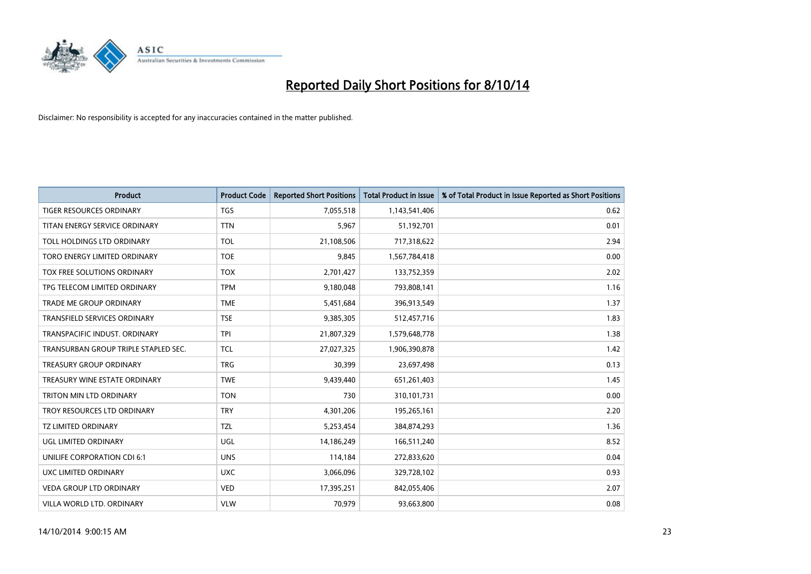

| <b>Product</b>                       | <b>Product Code</b> | <b>Reported Short Positions</b> | <b>Total Product in Issue</b> | % of Total Product in Issue Reported as Short Positions |
|--------------------------------------|---------------------|---------------------------------|-------------------------------|---------------------------------------------------------|
| <b>TIGER RESOURCES ORDINARY</b>      | <b>TGS</b>          | 7,055,518                       | 1,143,541,406                 | 0.62                                                    |
| TITAN ENERGY SERVICE ORDINARY        | <b>TTN</b>          | 5,967                           | 51,192,701                    | 0.01                                                    |
| TOLL HOLDINGS LTD ORDINARY           | <b>TOL</b>          | 21,108,506                      | 717,318,622                   | 2.94                                                    |
| TORO ENERGY LIMITED ORDINARY         | <b>TOE</b>          | 9,845                           | 1,567,784,418                 | 0.00                                                    |
| TOX FREE SOLUTIONS ORDINARY          | <b>TOX</b>          | 2,701,427                       | 133,752,359                   | 2.02                                                    |
| TPG TELECOM LIMITED ORDINARY         | <b>TPM</b>          | 9,180,048                       | 793,808,141                   | 1.16                                                    |
| TRADE ME GROUP ORDINARY              | <b>TME</b>          | 5,451,684                       | 396,913,549                   | 1.37                                                    |
| TRANSFIELD SERVICES ORDINARY         | <b>TSE</b>          | 9,385,305                       | 512,457,716                   | 1.83                                                    |
| TRANSPACIFIC INDUST, ORDINARY        | <b>TPI</b>          | 21,807,329                      | 1,579,648,778                 | 1.38                                                    |
| TRANSURBAN GROUP TRIPLE STAPLED SEC. | <b>TCL</b>          | 27,027,325                      | 1,906,390,878                 | 1.42                                                    |
| TREASURY GROUP ORDINARY              | <b>TRG</b>          | 30,399                          | 23,697,498                    | 0.13                                                    |
| TREASURY WINE ESTATE ORDINARY        | <b>TWE</b>          | 9,439,440                       | 651,261,403                   | 1.45                                                    |
| TRITON MIN LTD ORDINARY              | <b>TON</b>          | 730                             | 310,101,731                   | 0.00                                                    |
| TROY RESOURCES LTD ORDINARY          | <b>TRY</b>          | 4,301,206                       | 195,265,161                   | 2.20                                                    |
| <b>TZ LIMITED ORDINARY</b>           | <b>TZL</b>          | 5,253,454                       | 384,874,293                   | 1.36                                                    |
| UGL LIMITED ORDINARY                 | UGL                 | 14,186,249                      | 166,511,240                   | 8.52                                                    |
| UNILIFE CORPORATION CDI 6:1          | <b>UNS</b>          | 114,184                         | 272,833,620                   | 0.04                                                    |
| UXC LIMITED ORDINARY                 | <b>UXC</b>          | 3,066,096                       | 329,728,102                   | 0.93                                                    |
| <b>VEDA GROUP LTD ORDINARY</b>       | <b>VED</b>          | 17,395,251                      | 842,055,406                   | 2.07                                                    |
| VILLA WORLD LTD. ORDINARY            | <b>VLW</b>          | 70,979                          | 93,663,800                    | 0.08                                                    |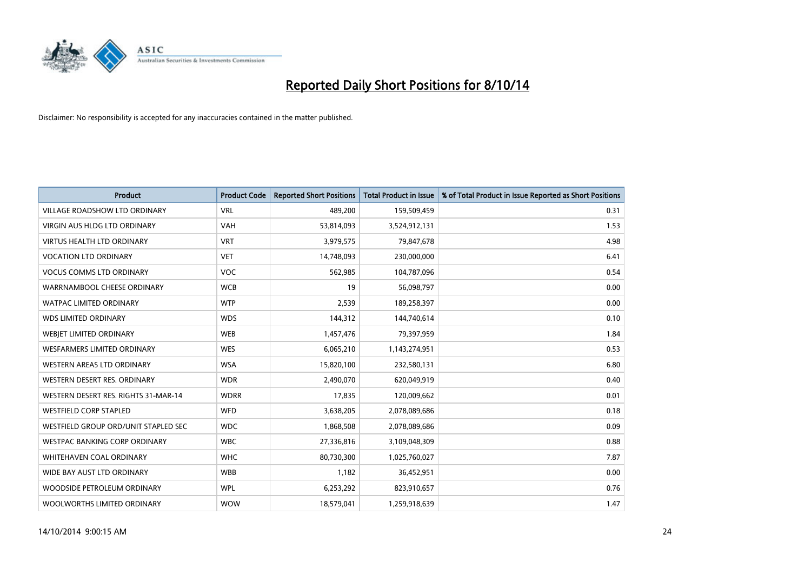

| <b>Product</b>                       | <b>Product Code</b> | <b>Reported Short Positions</b> | <b>Total Product in Issue</b> | % of Total Product in Issue Reported as Short Positions |
|--------------------------------------|---------------------|---------------------------------|-------------------------------|---------------------------------------------------------|
| <b>VILLAGE ROADSHOW LTD ORDINARY</b> | <b>VRL</b>          | 489,200                         | 159,509,459                   | 0.31                                                    |
| VIRGIN AUS HLDG LTD ORDINARY         | <b>VAH</b>          | 53,814,093                      | 3,524,912,131                 | 1.53                                                    |
| <b>VIRTUS HEALTH LTD ORDINARY</b>    | <b>VRT</b>          | 3,979,575                       | 79,847,678                    | 4.98                                                    |
| <b>VOCATION LTD ORDINARY</b>         | <b>VET</b>          | 14,748,093                      | 230,000,000                   | 6.41                                                    |
| <b>VOCUS COMMS LTD ORDINARY</b>      | <b>VOC</b>          | 562,985                         | 104,787,096                   | 0.54                                                    |
| WARRNAMBOOL CHEESE ORDINARY          | <b>WCB</b>          | 19                              | 56,098,797                    | 0.00                                                    |
| <b>WATPAC LIMITED ORDINARY</b>       | <b>WTP</b>          | 2,539                           | 189,258,397                   | 0.00                                                    |
| <b>WDS LIMITED ORDINARY</b>          | <b>WDS</b>          | 144,312                         | 144,740,614                   | 0.10                                                    |
| WEBJET LIMITED ORDINARY              | <b>WEB</b>          | 1,457,476                       | 79,397,959                    | 1.84                                                    |
| <b>WESFARMERS LIMITED ORDINARY</b>   | <b>WES</b>          | 6,065,210                       | 1,143,274,951                 | 0.53                                                    |
| WESTERN AREAS LTD ORDINARY           | <b>WSA</b>          | 15,820,100                      | 232,580,131                   | 6.80                                                    |
| WESTERN DESERT RES. ORDINARY         | <b>WDR</b>          | 2,490,070                       | 620,049,919                   | 0.40                                                    |
| WESTERN DESERT RES. RIGHTS 31-MAR-14 | <b>WDRR</b>         | 17,835                          | 120,009,662                   | 0.01                                                    |
| <b>WESTFIELD CORP STAPLED</b>        | <b>WFD</b>          | 3,638,205                       | 2,078,089,686                 | 0.18                                                    |
| WESTFIELD GROUP ORD/UNIT STAPLED SEC | <b>WDC</b>          | 1,868,508                       | 2,078,089,686                 | 0.09                                                    |
| WESTPAC BANKING CORP ORDINARY        | <b>WBC</b>          | 27,336,816                      | 3,109,048,309                 | 0.88                                                    |
| WHITEHAVEN COAL ORDINARY             | <b>WHC</b>          | 80,730,300                      | 1,025,760,027                 | 7.87                                                    |
| WIDE BAY AUST LTD ORDINARY           | <b>WBB</b>          | 1,182                           | 36,452,951                    | 0.00                                                    |
| WOODSIDE PETROLEUM ORDINARY          | <b>WPL</b>          | 6,253,292                       | 823,910,657                   | 0.76                                                    |
| WOOLWORTHS LIMITED ORDINARY          | <b>WOW</b>          | 18,579,041                      | 1,259,918,639                 | 1.47                                                    |